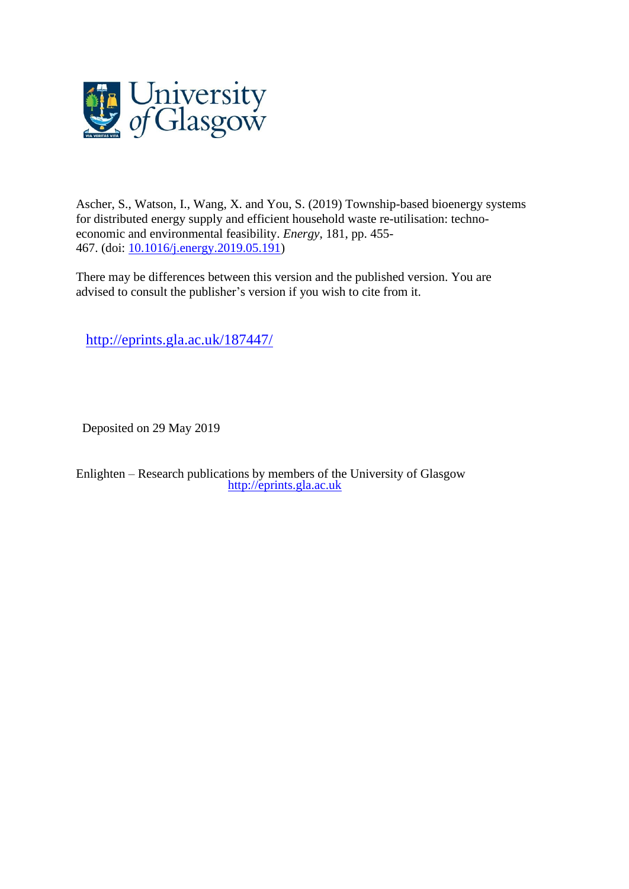

Ascher, S., Watson, I., Wang, X. and You, S. (2019) Township-based bioenergy systems for distributed energy supply and efficient household waste re-utilisation: technoeconomic and environmental feasibility. *Energy*, 181, pp. 455- 467. (doi: [10.1016/j.energy.2019.05.191\)](http://dx.doi.org/10.1016/j.energy.2019.05.191)

There may be differences between this version and the published version. You are advised to consult the publisher's version if you wish to cite from it.

<http://eprints.gla.ac.uk/187447/>

Deposited on 29 May 2019

Enlighten – Research publications by members of the University of Glasgow [http://eprints.gla.ac.uk](http://eprints.gla.ac.uk/)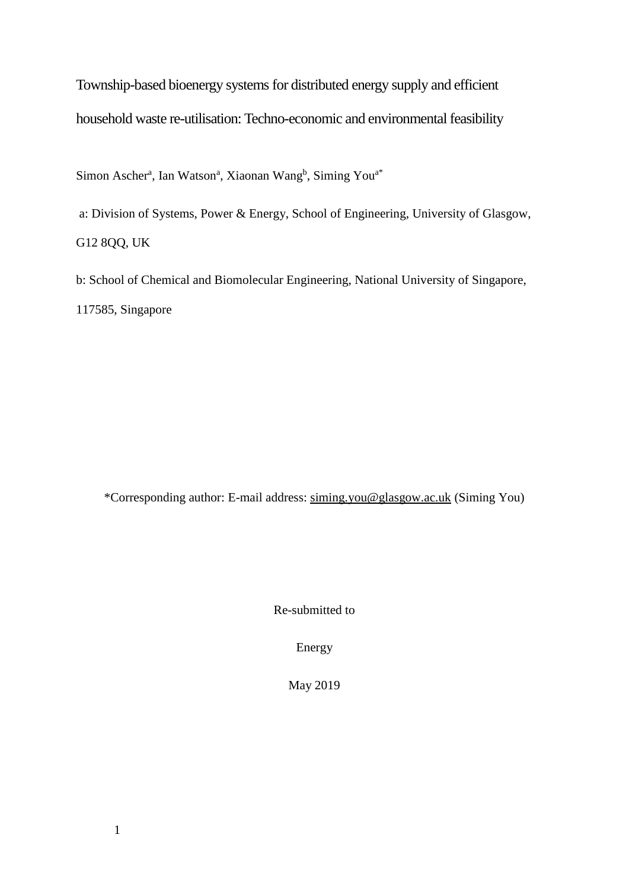Township-based bioenergy systems for distributed energy supply and efficient household waste re-utilisation: Techno-economic and environmental feasibility

Simon Ascher<sup>a</sup>, Ian Watson<sup>a</sup>, Xiaonan Wang<sup>b</sup>, Siming You<sup>a\*</sup>

a: Division of Systems, Power & Energy, School of Engineering, University of Glasgow, G12 8QQ, UK

b: School of Chemical and Biomolecular Engineering, National University of Singapore, 117585, Singapore

\*Corresponding author: E-mail address: [siming.you@glasgow.ac.uk](mailto:siming.you@glasgow.ac.uk) (Siming You)

Re-submitted to

Energy

May 2019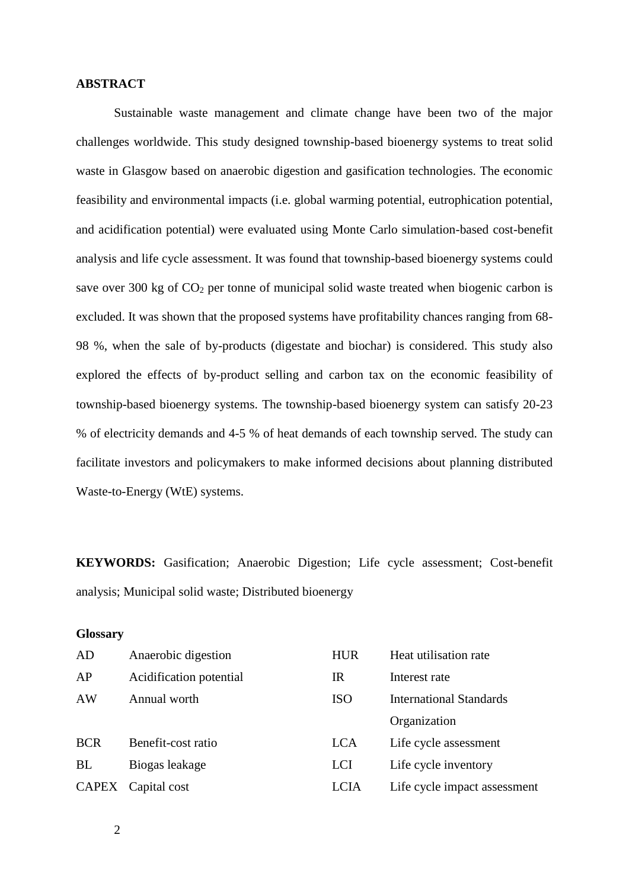## **ABSTRACT**

Sustainable waste management and climate change have been two of the major challenges worldwide. This study designed township-based bioenergy systems to treat solid waste in Glasgow based on anaerobic digestion and gasification technologies. The economic feasibility and environmental impacts (i.e. global warming potential, eutrophication potential, and acidification potential) were evaluated using Monte Carlo simulation-based cost-benefit analysis and life cycle assessment. It was found that township-based bioenergy systems could save over 300 kg of  $CO<sub>2</sub>$  per tonne of municipal solid waste treated when biogenic carbon is excluded. It was shown that the proposed systems have profitability chances ranging from 68- 98 %, when the sale of by-products (digestate and biochar) is considered. This study also explored the effects of by-product selling and carbon tax on the economic feasibility of township-based bioenergy systems. The township-based bioenergy system can satisfy 20-23 % of electricity demands and 4-5 % of heat demands of each township served. The study can facilitate investors and policymakers to make informed decisions about planning distributed Waste-to-Energy (WtE) systems.

**KEYWORDS:** Gasification; Anaerobic Digestion; Life cycle assessment; Cost-benefit analysis; Municipal solid waste; Distributed bioenergy

## **Glossary**

| AD         | Anaerobic digestion     | <b>HUR</b>  | Heat utilisation rate          |
|------------|-------------------------|-------------|--------------------------------|
| AP         | Acidification potential | $_{\rm IR}$ | Interest rate                  |
| AW         | Annual worth            | <b>ISO</b>  | <b>International Standards</b> |
|            |                         |             | Organization                   |
| <b>BCR</b> | Benefit-cost ratio      | <b>LCA</b>  | Life cycle assessment          |
| BL         | Biogas leakage          | <b>LCI</b>  | Life cycle inventory           |
|            | CAPEX Capital cost      | <b>LCIA</b> | Life cycle impact assessment   |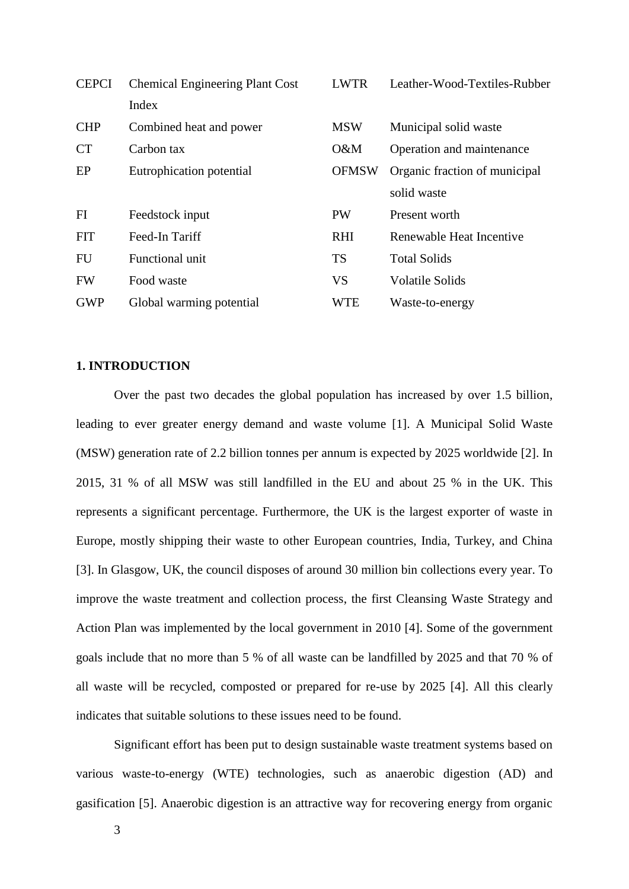| <b>CEPCI</b> | <b>Chemical Engineering Plant Cost</b> | <b>LWTR</b>  | Leather-Wood-Textiles-Rubber  |
|--------------|----------------------------------------|--------------|-------------------------------|
|              | Index                                  |              |                               |
| <b>CHP</b>   | Combined heat and power                | <b>MSW</b>   | Municipal solid waste         |
| <b>CT</b>    | Carbon tax                             | O&M          | Operation and maintenance     |
| EP           | Eutrophication potential               | <b>OFMSW</b> | Organic fraction of municipal |
|              |                                        |              | solid waste                   |
| FI           | Feedstock input                        | <b>PW</b>    | Present worth                 |
| <b>FIT</b>   | Feed-In Tariff                         | <b>RHI</b>   | Renewable Heat Incentive      |
| <b>FU</b>    | Functional unit                        | <b>TS</b>    | <b>Total Solids</b>           |
| <b>FW</b>    | Food waste                             | <b>VS</b>    | <b>Volatile Solids</b>        |
| <b>GWP</b>   | Global warming potential               | <b>WTE</b>   | Waste-to-energy               |

## **1. INTRODUCTION**

Over the past two decades the global population has increased by over 1.5 billion, leading to ever greater energy demand and waste volume [1]. A Municipal Solid Waste (MSW) generation rate of 2.2 billion tonnes per annum is expected by 2025 worldwide [2]. In 2015, 31 % of all MSW was still landfilled in the EU and about 25 % in the UK. This represents a significant percentage. Furthermore, the UK is the largest exporter of waste in Europe, mostly shipping their waste to other European countries, India, Turkey, and China [3]. In Glasgow, UK, the council disposes of around 30 million bin collections every year. To improve the waste treatment and collection process, the first Cleansing Waste Strategy and Action Plan was implemented by the local government in 2010 [4]. Some of the government goals include that no more than 5 % of all waste can be landfilled by 2025 and that 70 % of all waste will be recycled, composted or prepared for re-use by 2025 [4]. All this clearly indicates that suitable solutions to these issues need to be found.

Significant effort has been put to design sustainable waste treatment systems based on various waste-to-energy (WTE) technologies, such as anaerobic digestion (AD) and gasification [5]. Anaerobic digestion is an attractive way for recovering energy from organic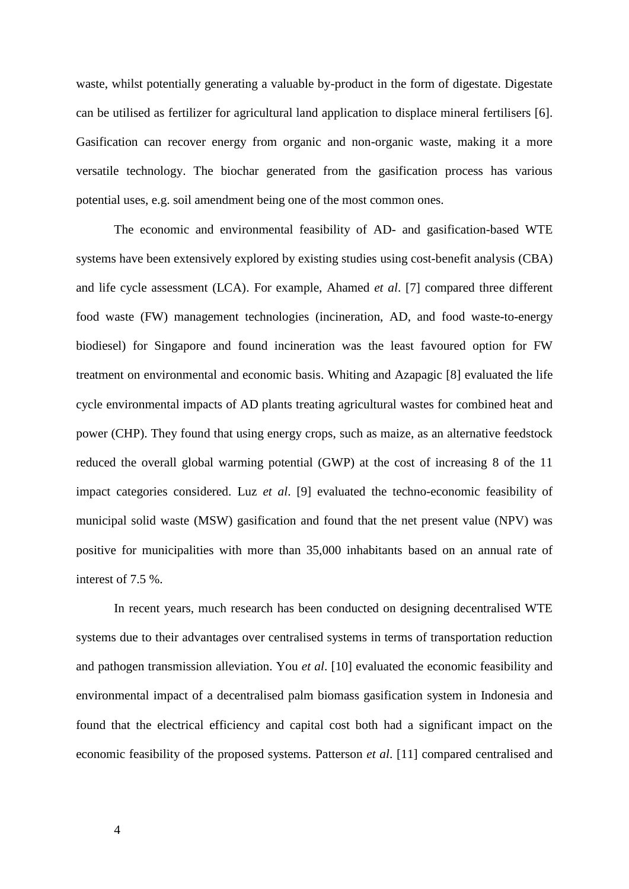waste, whilst potentially generating a valuable by-product in the form of digestate. Digestate can be utilised as fertilizer for agricultural land application to displace mineral fertilisers [6]. Gasification can recover energy from organic and non-organic waste, making it a more versatile technology. The biochar generated from the gasification process has various potential uses, e.g. soil amendment being one of the most common ones.

The economic and environmental feasibility of AD- and gasification-based WTE systems have been extensively explored by existing studies using cost-benefit analysis (CBA) and life cycle assessment (LCA). For example, Ahamed *et al*. [7] compared three different food waste (FW) management technologies (incineration, AD, and food waste-to-energy biodiesel) for Singapore and found incineration was the least favoured option for FW treatment on environmental and economic basis. Whiting and Azapagic [8] evaluated the life cycle environmental impacts of AD plants treating agricultural wastes for combined heat and power (CHP). They found that using energy crops, such as maize, as an alternative feedstock reduced the overall global warming potential (GWP) at the cost of increasing 8 of the 11 impact categories considered. Luz *et al*. [9] evaluated the techno-economic feasibility of municipal solid waste (MSW) gasification and found that the net present value (NPV) was positive for municipalities with more than 35,000 inhabitants based on an annual rate of interest of 7.5 %.

In recent years, much research has been conducted on designing decentralised WTE systems due to their advantages over centralised systems in terms of transportation reduction and pathogen transmission alleviation. You *et al*. [10] evaluated the economic feasibility and environmental impact of a decentralised palm biomass gasification system in Indonesia and found that the electrical efficiency and capital cost both had a significant impact on the economic feasibility of the proposed systems. Patterson *et al*. [11] compared centralised and

4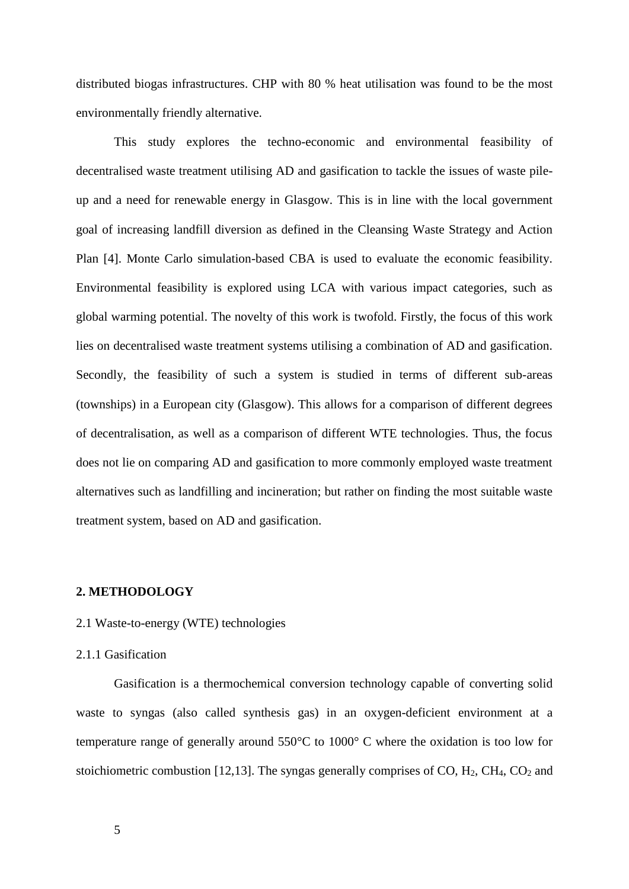distributed biogas infrastructures. CHP with 80 % heat utilisation was found to be the most environmentally friendly alternative.

This study explores the techno-economic and environmental feasibility of decentralised waste treatment utilising AD and gasification to tackle the issues of waste pileup and a need for renewable energy in Glasgow. This is in line with the local government goal of increasing landfill diversion as defined in the Cleansing Waste Strategy and Action Plan [4]. Monte Carlo simulation-based CBA is used to evaluate the economic feasibility. Environmental feasibility is explored using LCA with various impact categories, such as global warming potential. The novelty of this work is twofold. Firstly, the focus of this work lies on decentralised waste treatment systems utilising a combination of AD and gasification. Secondly, the feasibility of such a system is studied in terms of different sub-areas (townships) in a European city (Glasgow). This allows for a comparison of different degrees of decentralisation, as well as a comparison of different WTE technologies. Thus, the focus does not lie on comparing AD and gasification to more commonly employed waste treatment alternatives such as landfilling and incineration; but rather on finding the most suitable waste treatment system, based on AD and gasification.

## **2. METHODOLOGY**

#### 2.1 Waste-to-energy (WTE) technologies

## 2.1.1 Gasification

Gasification is a thermochemical conversion technology capable of converting solid waste to syngas (also called synthesis gas) in an oxygen-deficient environment at a temperature range of generally around 550°C to 1000° C where the oxidation is too low for stoichiometric combustion [12,13]. The syngas generally comprises of CO,  $H_2$ , CH<sub>4</sub>, CO<sub>2</sub> and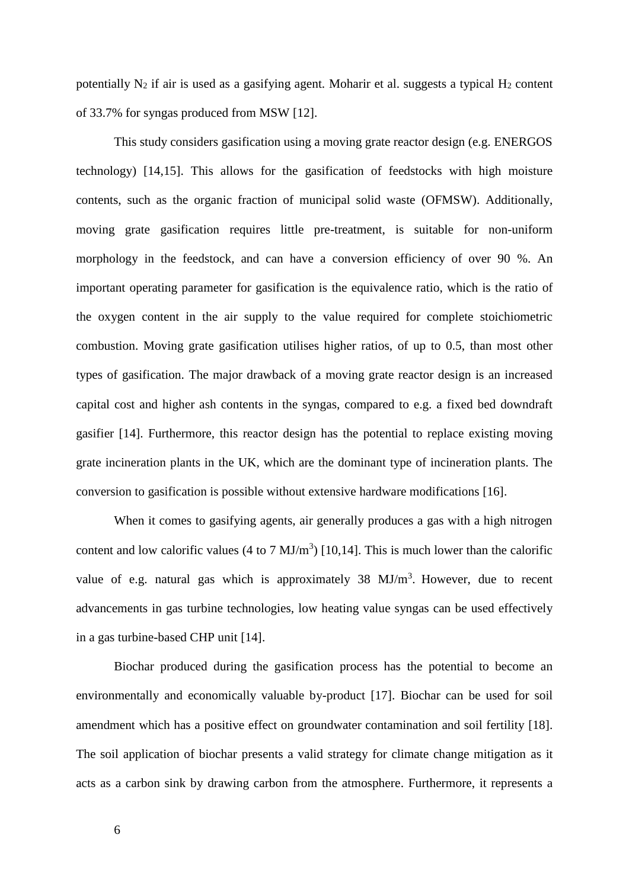potentially  $N_2$  if air is used as a gasifying agent. Moharir et al. suggests a typical  $H_2$  content of 33.7% for syngas produced from MSW [12].

This study considers gasification using a moving grate reactor design (e.g. ENERGOS technology) [14,15]. This allows for the gasification of feedstocks with high moisture contents, such as the organic fraction of municipal solid waste (OFMSW). Additionally, moving grate gasification requires little pre-treatment, is suitable for non-uniform morphology in the feedstock, and can have a conversion efficiency of over 90 %. An important operating parameter for gasification is the equivalence ratio, which is the ratio of the oxygen content in the air supply to the value required for complete stoichiometric combustion. Moving grate gasification utilises higher ratios, of up to 0.5, than most other types of gasification. The major drawback of a moving grate reactor design is an increased capital cost and higher ash contents in the syngas, compared to e.g. a fixed bed downdraft gasifier [14]. Furthermore, this reactor design has the potential to replace existing moving grate incineration plants in the UK, which are the dominant type of incineration plants. The conversion to gasification is possible without extensive hardware modifications [16].

When it comes to gasifying agents, air generally produces a gas with a high nitrogen content and low calorific values (4 to 7  $MJ/m<sup>3</sup>$ ) [10,14]. This is much lower than the calorific value of e.g. natural gas which is approximately  $38 \text{ MJ/m}^3$ . However, due to recent advancements in gas turbine technologies, low heating value syngas can be used effectively in a gas turbine-based CHP unit [14].

Biochar produced during the gasification process has the potential to become an environmentally and economically valuable by-product [17]. Biochar can be used for soil amendment which has a positive effect on groundwater contamination and soil fertility [18]. The soil application of biochar presents a valid strategy for climate change mitigation as it acts as a carbon sink by drawing carbon from the atmosphere. Furthermore, it represents a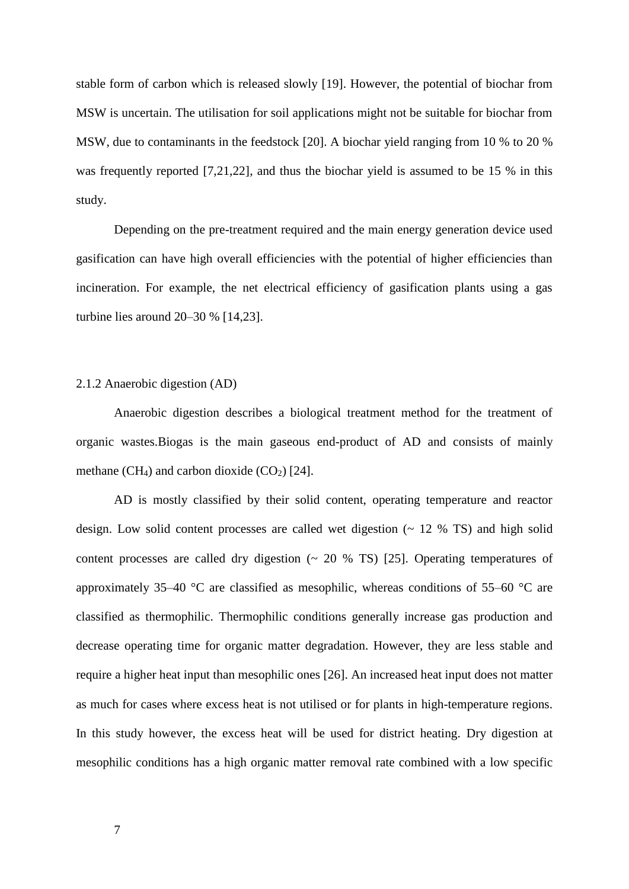stable form of carbon which is released slowly [19]. However, the potential of biochar from MSW is uncertain. The utilisation for soil applications might not be suitable for biochar from MSW, due to contaminants in the feedstock [20]. A biochar yield ranging from 10 % to 20 % was frequently reported [7,21,22], and thus the biochar yield is assumed to be 15 % in this study.

Depending on the pre-treatment required and the main energy generation device used gasification can have high overall efficiencies with the potential of higher efficiencies than incineration. For example, the net electrical efficiency of gasification plants using a gas turbine lies around 20–30 % [14,23].

#### 2.1.2 Anaerobic digestion (AD)

Anaerobic digestion describes a biological treatment method for the treatment of organic wastes.Biogas is the main gaseous end-product of AD and consists of mainly methane  $(CH_4)$  and carbon dioxide  $(CO_2)$  [24].

AD is mostly classified by their solid content, operating temperature and reactor design. Low solid content processes are called wet digestion  $(2 \times 12)$  TS and high solid content processes are called dry digestion  $(20 %$  TS) [25]. Operating temperatures of approximately 35–40  $\degree$ C are classified as mesophilic, whereas conditions of 55–60  $\degree$ C are classified as thermophilic. Thermophilic conditions generally increase gas production and decrease operating time for organic matter degradation. However, they are less stable and require a higher heat input than mesophilic ones [26]. An increased heat input does not matter as much for cases where excess heat is not utilised or for plants in high-temperature regions. In this study however, the excess heat will be used for district heating. Dry digestion at mesophilic conditions has a high organic matter removal rate combined with a low specific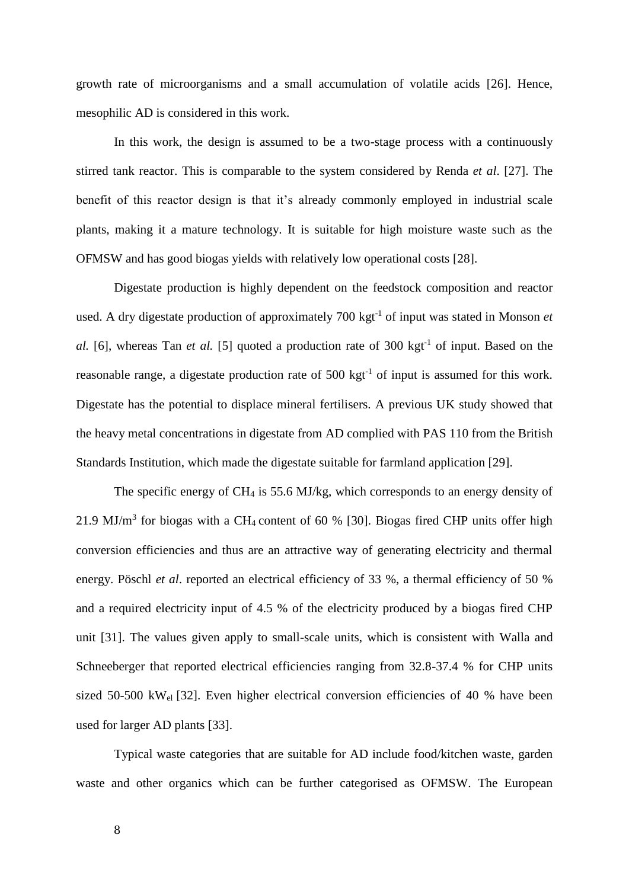growth rate of microorganisms and a small accumulation of volatile acids [26]. Hence, mesophilic AD is considered in this work.

In this work, the design is assumed to be a two-stage process with a continuously stirred tank reactor. This is comparable to the system considered by Renda *et al*. [27]. The benefit of this reactor design is that it's already commonly employed in industrial scale plants, making it a mature technology. It is suitable for high moisture waste such as the OFMSW and has good biogas yields with relatively low operational costs [28].

Digestate production is highly dependent on the feedstock composition and reactor used. A dry digestate production of approximately 700 kgt<sup>-1</sup> of input was stated in Monson *et* al. [6], whereas Tan *et al.* [5] quoted a production rate of 300 kgt<sup>-1</sup> of input. Based on the reasonable range, a digestate production rate of  $500 \text{ kgt}^{-1}$  of input is assumed for this work. Digestate has the potential to displace mineral fertilisers. A previous UK study showed that the heavy metal concentrations in digestate from AD complied with PAS 110 from the British Standards Institution, which made the digestate suitable for farmland application [29].

The specific energy of CH<sup>4</sup> is 55.6 MJ/kg, which corresponds to an energy density of 21.9 MJ/ $m<sup>3</sup>$  for biogas with a CH<sub>4</sub> content of 60 % [30]. Biogas fired CHP units offer high conversion efficiencies and thus are an attractive way of generating electricity and thermal energy. Pöschl *et al*. reported an electrical efficiency of 33 %, a thermal efficiency of 50 % and a required electricity input of 4.5 % of the electricity produced by a biogas fired CHP unit [31]. The values given apply to small-scale units, which is consistent with Walla and Schneeberger that reported electrical efficiencies ranging from 32.8-37.4 % for CHP units sized 50-500 kWel [32]. Even higher electrical conversion efficiencies of 40 % have been used for larger AD plants [33].

Typical waste categories that are suitable for AD include food/kitchen waste, garden waste and other organics which can be further categorised as OFMSW. The European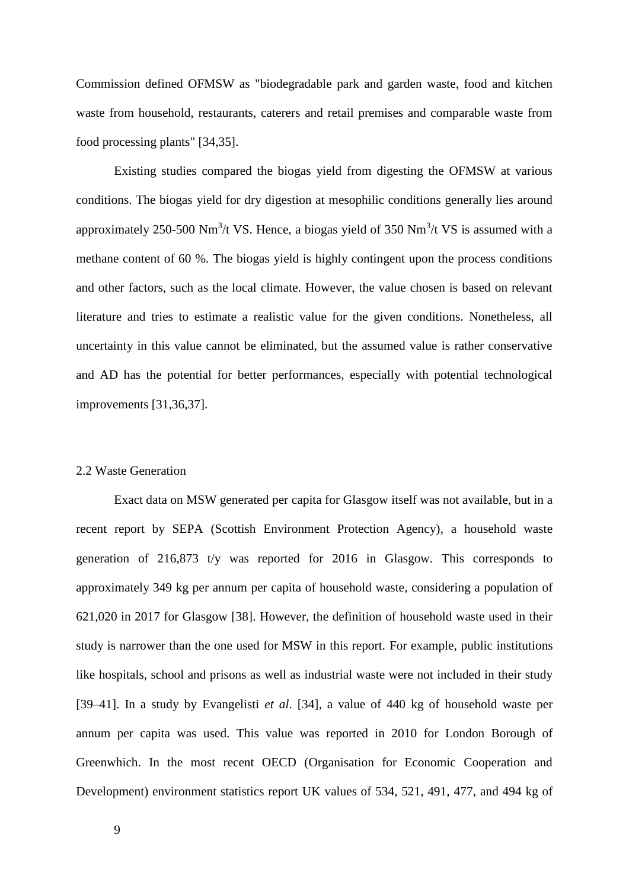Commission defined OFMSW as "biodegradable park and garden waste, food and kitchen waste from household, restaurants, caterers and retail premises and comparable waste from food processing plants" [34,35].

Existing studies compared the biogas yield from digesting the OFMSW at various conditions. The biogas yield for dry digestion at mesophilic conditions generally lies around approximately 250-500 Nm<sup>3</sup>/t VS. Hence, a biogas yield of 350 Nm<sup>3</sup>/t VS is assumed with a methane content of 60 %. The biogas yield is highly contingent upon the process conditions and other factors, such as the local climate. However, the value chosen is based on relevant literature and tries to estimate a realistic value for the given conditions. Nonetheless, all uncertainty in this value cannot be eliminated, but the assumed value is rather conservative and AD has the potential for better performances, especially with potential technological improvements [31,36,37].

#### 2.2 Waste Generation

Exact data on MSW generated per capita for Glasgow itself was not available, but in a recent report by SEPA (Scottish Environment Protection Agency), a household waste generation of 216,873 t/y was reported for 2016 in Glasgow. This corresponds to approximately 349 kg per annum per capita of household waste, considering a population of 621,020 in 2017 for Glasgow [38]. However, the definition of household waste used in their study is narrower than the one used for MSW in this report. For example, public institutions like hospitals, school and prisons as well as industrial waste were not included in their study [39–41]. In a study by Evangelisti *et al*. [34], a value of 440 kg of household waste per annum per capita was used. This value was reported in 2010 for London Borough of Greenwhich. In the most recent OECD (Organisation for Economic Cooperation and Development) environment statistics report UK values of 534, 521, 491, 477, and 494 kg of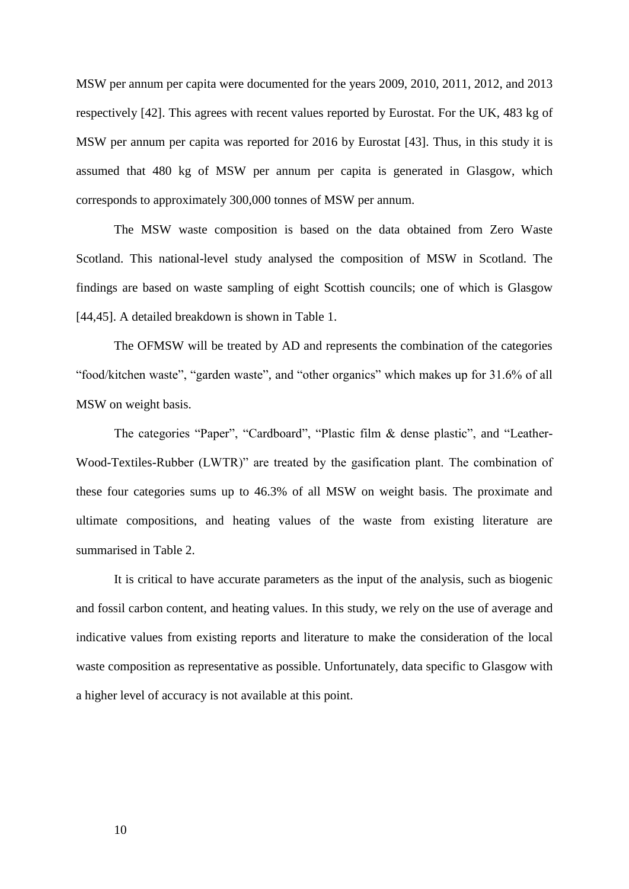MSW per annum per capita were documented for the years 2009, 2010, 2011, 2012, and 2013 respectively [42]. This agrees with recent values reported by Eurostat. For the UK, 483 kg of MSW per annum per capita was reported for 2016 by Eurostat [43]. Thus, in this study it is assumed that 480 kg of MSW per annum per capita is generated in Glasgow, which corresponds to approximately 300,000 tonnes of MSW per annum.

The MSW waste composition is based on the data obtained from Zero Waste Scotland. This national-level study analysed the composition of MSW in Scotland. The findings are based on waste sampling of eight Scottish councils; one of which is Glasgow [44,45]. A detailed breakdown is shown in Table 1.

The OFMSW will be treated by AD and represents the combination of the categories "food/kitchen waste", "garden waste", and "other organics" which makes up for 31.6% of all MSW on weight basis.

The categories "Paper", "Cardboard", "Plastic film & dense plastic", and "Leather-Wood-Textiles-Rubber (LWTR)" are treated by the gasification plant. The combination of these four categories sums up to 46.3% of all MSW on weight basis. The proximate and ultimate compositions, and heating values of the waste from existing literature are summarised in Table 2.

It is critical to have accurate parameters as the input of the analysis, such as biogenic and fossil carbon content, and heating values. In this study, we rely on the use of average and indicative values from existing reports and literature to make the consideration of the local waste composition as representative as possible. Unfortunately, data specific to Glasgow with a higher level of accuracy is not available at this point.

10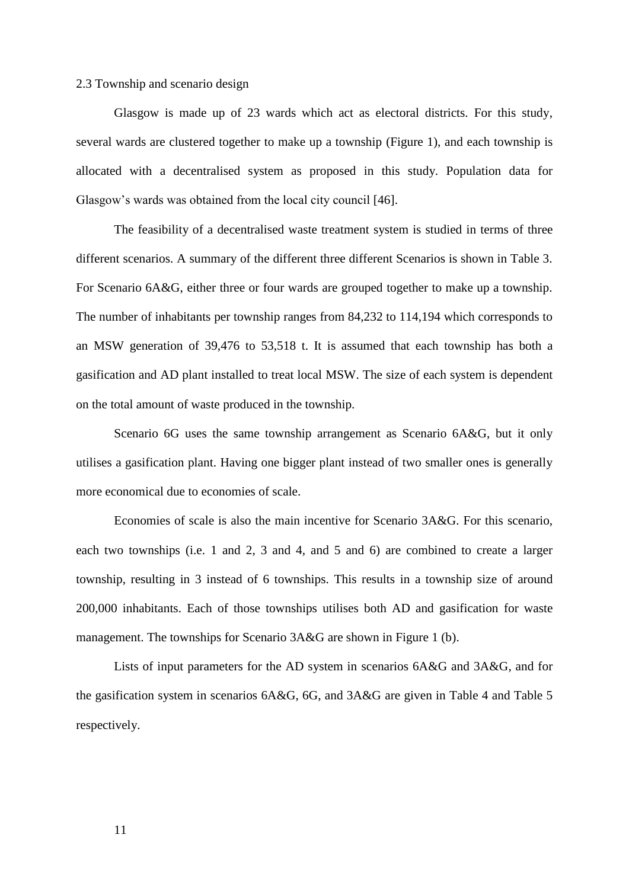### 2.3 Township and scenario design

Glasgow is made up of 23 wards which act as electoral districts. For this study, several wards are clustered together to make up a township (Figure 1), and each township is allocated with a decentralised system as proposed in this study. Population data for Glasgow's wards was obtained from the local city council [46].

The feasibility of a decentralised waste treatment system is studied in terms of three different scenarios. A summary of the different three different Scenarios is shown in Table 3. For Scenario 6A&G, either three or four wards are grouped together to make up a township. The number of inhabitants per township ranges from 84,232 to 114,194 which corresponds to an MSW generation of 39,476 to 53,518 t. It is assumed that each township has both a gasification and AD plant installed to treat local MSW. The size of each system is dependent on the total amount of waste produced in the township.

Scenario 6G uses the same township arrangement as Scenario 6A&G, but it only utilises a gasification plant. Having one bigger plant instead of two smaller ones is generally more economical due to economies of scale.

Economies of scale is also the main incentive for Scenario 3A&G. For this scenario, each two townships (i.e. 1 and 2, 3 and 4, and 5 and 6) are combined to create a larger township, resulting in 3 instead of 6 townships. This results in a township size of around 200,000 inhabitants. Each of those townships utilises both AD and gasification for waste management. The townships for Scenario 3A&G are shown in Figure 1 (b).

Lists of input parameters for the AD system in scenarios 6A&G and 3A&G, and for the gasification system in scenarios 6A&G, 6G, and 3A&G are given in Table 4 and Table 5 respectively.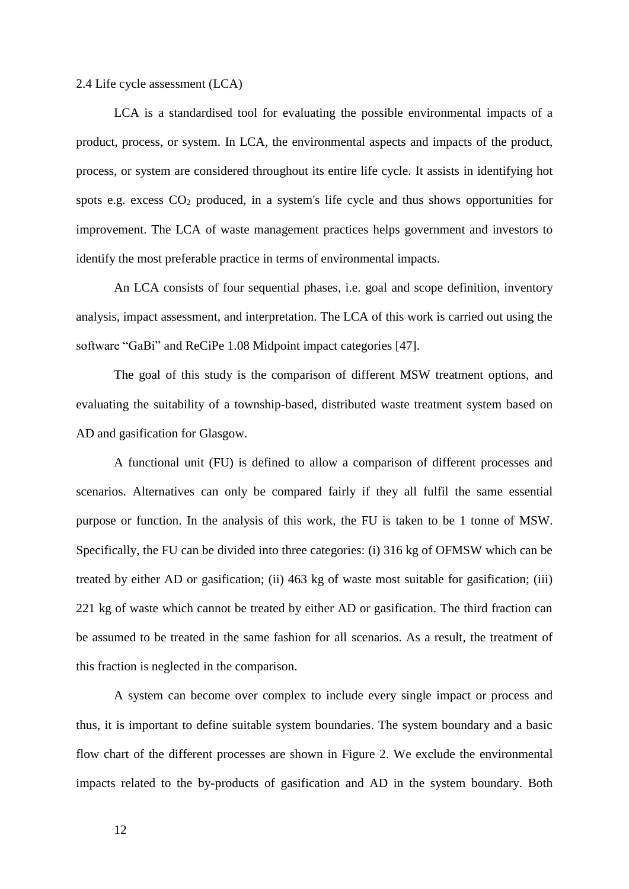2.4 Life cycle assessment (LCA)

LCA is a standardised tool for evaluating the possible environmental impacts of a product, process, or system. In LCA, the environmental aspects and impacts of the product, process, or system are considered throughout its entire life cycle. It assists in identifying hot spots e.g. excess CO<sup>2</sup> produced, in a system's life cycle and thus shows opportunities for improvement. The LCA of waste management practices helps government and investors to identify the most preferable practice in terms of environmental impacts.

An LCA consists of four sequential phases, i.e. goal and scope definition, inventory analysis, impact assessment, and interpretation. The LCA of this work is carried out using the software "GaBi" and ReCiPe 1.08 Midpoint impact categories [47].

The goal of this study is the comparison of different MSW treatment options, and evaluating the suitability of a township-based, distributed waste treatment system based on AD and gasification for Glasgow.

A functional unit (FU) is defined to allow a comparison of different processes and scenarios. Alternatives can only be compared fairly if they all fulfil the same essential purpose or function. In the analysis of this work, the FU is taken to be 1 tonne of MSW. Specifically, the FU can be divided into three categories: (i) 316 kg of OFMSW which can be treated by either AD or gasification; (ii) 463 kg of waste most suitable for gasification; (iii) 221 kg of waste which cannot be treated by either AD or gasification. The third fraction can be assumed to be treated in the same fashion for all scenarios. As a result, the treatment of this fraction is neglected in the comparison.

A system can become over complex to include every single impact or process and thus, it is important to define suitable system boundaries. The system boundary and a basic flow chart of the different processes are shown in Figure 2. We exclude the environmental impacts related to the by-products of gasification and AD in the system boundary. Both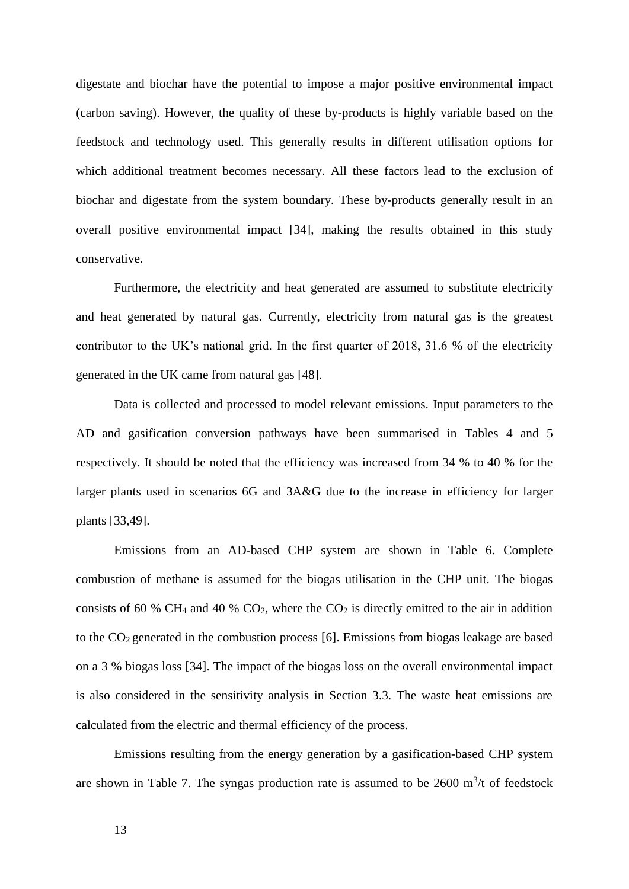digestate and biochar have the potential to impose a major positive environmental impact (carbon saving). However, the quality of these by-products is highly variable based on the feedstock and technology used. This generally results in different utilisation options for which additional treatment becomes necessary. All these factors lead to the exclusion of biochar and digestate from the system boundary. These by-products generally result in an overall positive environmental impact [34], making the results obtained in this study conservative.

Furthermore, the electricity and heat generated are assumed to substitute electricity and heat generated by natural gas. Currently, electricity from natural gas is the greatest contributor to the UK's national grid. In the first quarter of 2018, 31.6 % of the electricity generated in the UK came from natural gas [48].

Data is collected and processed to model relevant emissions. Input parameters to the AD and gasification conversion pathways have been summarised in Tables 4 and 5 respectively. It should be noted that the efficiency was increased from 34 % to 40 % for the larger plants used in scenarios 6G and 3A&G due to the increase in efficiency for larger plants [33,49].

Emissions from an AD-based CHP system are shown in Table 6. Complete combustion of methane is assumed for the biogas utilisation in the CHP unit. The biogas consists of 60 % CH<sub>4</sub> and 40 % CO<sub>2</sub>, where the CO<sub>2</sub> is directly emitted to the air in addition to the  $CO<sub>2</sub>$  generated in the combustion process [6]. Emissions from biogas leakage are based on a 3 % biogas loss [34]. The impact of the biogas loss on the overall environmental impact is also considered in the sensitivity analysis in Section 3.3. The waste heat emissions are calculated from the electric and thermal efficiency of the process.

Emissions resulting from the energy generation by a gasification-based CHP system are shown in Table 7. The syngas production rate is assumed to be  $2600 \text{ m}^3$ /t of feedstock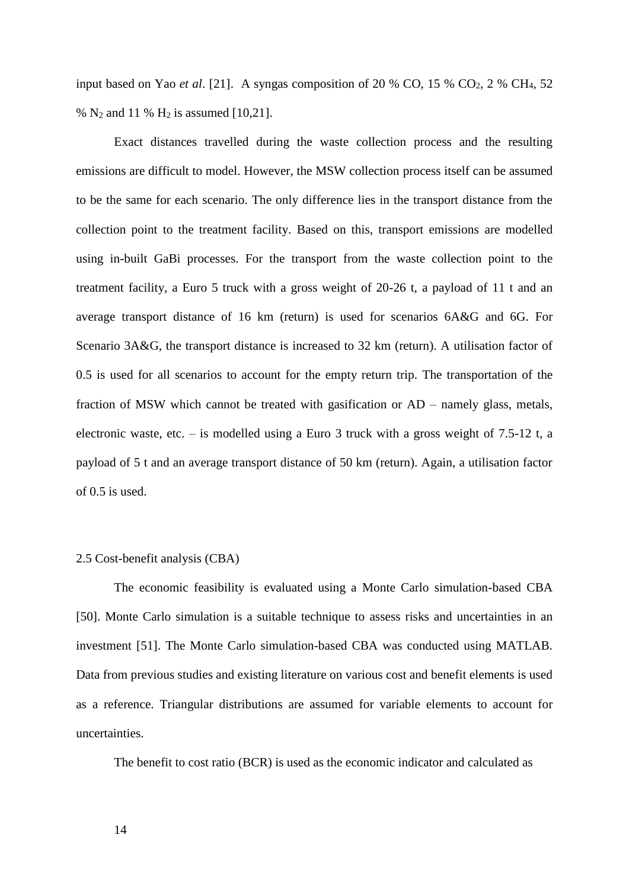input based on Yao *et al*. [21]. A syngas composition of 20 % CO, 15 % CO2, 2 % CH4, 52 %  $N_2$  and 11 %  $H_2$  is assumed [10,21].

Exact distances travelled during the waste collection process and the resulting emissions are difficult to model. However, the MSW collection process itself can be assumed to be the same for each scenario. The only difference lies in the transport distance from the collection point to the treatment facility. Based on this, transport emissions are modelled using in-built GaBi processes. For the transport from the waste collection point to the treatment facility, a Euro 5 truck with a gross weight of 20-26 t, a payload of 11 t and an average transport distance of 16 km (return) is used for scenarios 6A&G and 6G. For Scenario 3A&G, the transport distance is increased to 32 km (return). A utilisation factor of 0.5 is used for all scenarios to account for the empty return trip. The transportation of the fraction of MSW which cannot be treated with gasification or AD – namely glass, metals, electronic waste, etc. – is modelled using a Euro 3 truck with a gross weight of 7.5-12 t, a payload of 5 t and an average transport distance of 50 km (return). Again, a utilisation factor of 0.5 is used.

#### 2.5 Cost-benefit analysis (CBA)

The economic feasibility is evaluated using a Monte Carlo simulation-based CBA [50]. Monte Carlo simulation is a suitable technique to assess risks and uncertainties in an investment [51]. The Monte Carlo simulation-based CBA was conducted using MATLAB. Data from previous studies and existing literature on various cost and benefit elements is used as a reference. Triangular distributions are assumed for variable elements to account for uncertainties.

The benefit to cost ratio (BCR) is used as the economic indicator and calculated as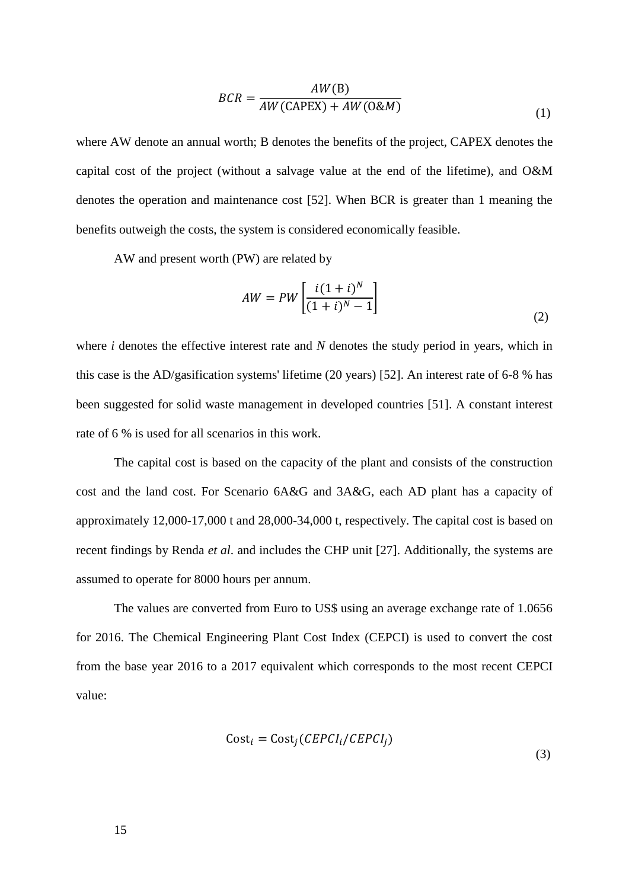$$
BCR = \frac{AW(B)}{AW(CAPEX) + AW(0\&M)}
$$
(1)

where AW denote an annual worth; B denotes the benefits of the project, CAPEX denotes the capital cost of the project (without a salvage value at the end of the lifetime), and O&M denotes the operation and maintenance cost [52]. When BCR is greater than 1 meaning the benefits outweigh the costs, the system is considered economically feasible.

AW and present worth (PW) are related by

$$
AW = PW\left[\frac{i(1+i)^N}{(1+i)^N - 1}\right]
$$
\n(2)

where *i* denotes the effective interest rate and *N* denotes the study period in years, which in this case is the AD/gasification systems' lifetime (20 years) [52]. An interest rate of 6-8 % has been suggested for solid waste management in developed countries [51]. A constant interest rate of 6 % is used for all scenarios in this work.

The capital cost is based on the capacity of the plant and consists of the construction cost and the land cost. For Scenario 6A&G and 3A&G, each AD plant has a capacity of approximately 12,000-17,000 t and 28,000-34,000 t, respectively. The capital cost is based on recent findings by Renda *et al*. and includes the CHP unit [27]. Additionally, the systems are assumed to operate for 8000 hours per annum.

The values are converted from Euro to US\$ using an average exchange rate of 1.0656 for 2016. The Chemical Engineering Plant Cost Index (CEPCI) is used to convert the cost from the base year 2016 to a 2017 equivalent which corresponds to the most recent CEPCI value:

$$
Cost_i = Cost_j (CEPCI_i / CEPCI_j)
$$

(3)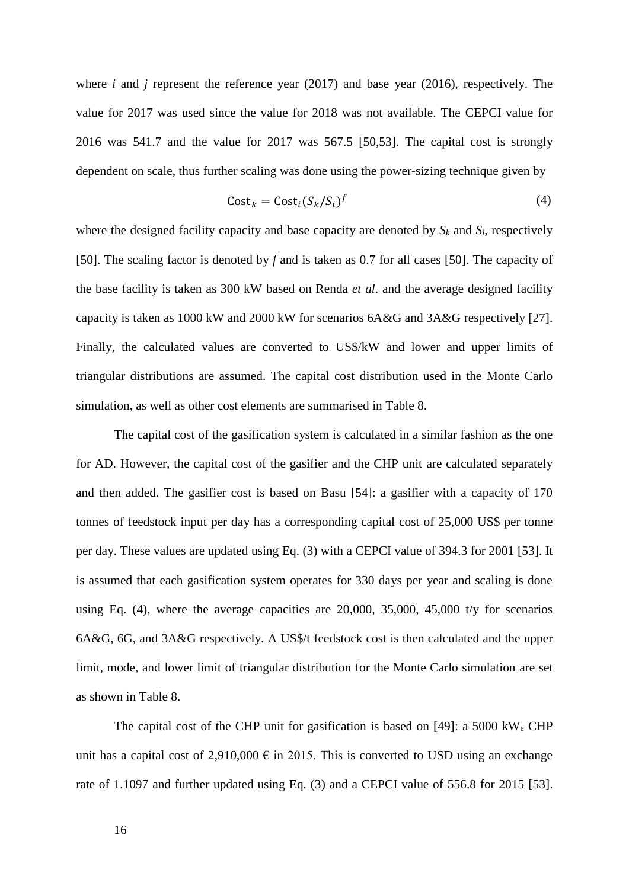where *i* and *j* represent the reference year (2017) and base year (2016), respectively. The value for 2017 was used since the value for 2018 was not available. The CEPCI value for 2016 was 541.7 and the value for 2017 was 567.5 [50,53]. The capital cost is strongly dependent on scale, thus further scaling was done using the power-sizing technique given by

$$
Cost_k = Cost_i (S_k / S_i)^f
$$
 (4)

where the designed facility capacity and base capacity are denoted by  $S_k$  and  $S_i$ , respectively [50]. The scaling factor is denoted by *f* and is taken as 0.7 for all cases [50]. The capacity of the base facility is taken as 300 kW based on Renda *et al*. and the average designed facility capacity is taken as 1000 kW and 2000 kW for scenarios 6A&G and 3A&G respectively [27]. Finally, the calculated values are converted to US\$/kW and lower and upper limits of triangular distributions are assumed. The capital cost distribution used in the Monte Carlo simulation, as well as other cost elements are summarised in Table 8.

The capital cost of the gasification system is calculated in a similar fashion as the one for AD. However, the capital cost of the gasifier and the CHP unit are calculated separately and then added. The gasifier cost is based on Basu [54]: a gasifier with a capacity of 170 tonnes of feedstock input per day has a corresponding capital cost of 25,000 US\$ per tonne per day. These values are updated using Eq. (3) with a CEPCI value of 394.3 for 2001 [53]. It is assumed that each gasification system operates for 330 days per year and scaling is done using Eq. (4), where the average capacities are  $20,000$ ,  $35,000$ ,  $45,000$  t/y for scenarios 6A&G, 6G, and 3A&G respectively. A US\$/t feedstock cost is then calculated and the upper limit, mode, and lower limit of triangular distribution for the Monte Carlo simulation are set as shown in Table 8.

The capital cost of the CHP unit for gasification is based on [49]: a 5000 kW<sup>e</sup> CHP unit has a capital cost of 2,910,000  $\epsilon$  in 2015. This is converted to USD using an exchange rate of 1.1097 and further updated using Eq. (3) and a CEPCI value of 556.8 for 2015 [53].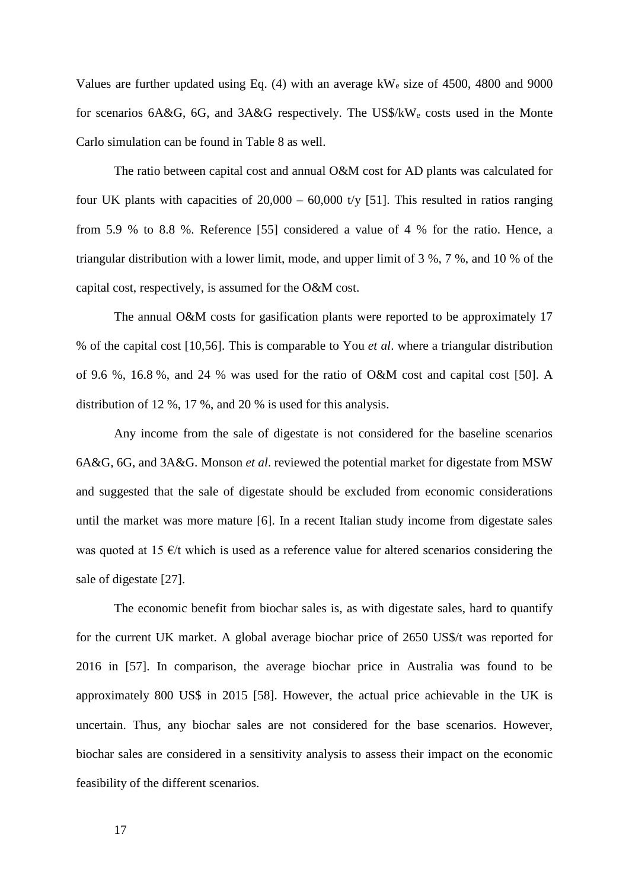Values are further updated using Eq. (4) with an average kW<sup>e</sup> size of 4500, 4800 and 9000 for scenarios 6A&G, 6G, and 3A&G respectively. The US\$/kW<sup>e</sup> costs used in the Monte Carlo simulation can be found in Table 8 as well.

The ratio between capital cost and annual O&M cost for AD plants was calculated for four UK plants with capacities of  $20,000 - 60,000$  t/y [51]. This resulted in ratios ranging from 5.9 % to 8.8 %. Reference [55] considered a value of 4 % for the ratio. Hence, a triangular distribution with a lower limit, mode, and upper limit of 3 %, 7 %, and 10 % of the capital cost, respectively, is assumed for the O&M cost.

The annual O&M costs for gasification plants were reported to be approximately 17 % of the capital cost [10,56]. This is comparable to You *et al*. where a triangular distribution of 9.6 %, 16.8 %, and 24 % was used for the ratio of O&M cost and capital cost [50]. A distribution of 12 %, 17 %, and 20 % is used for this analysis.

Any income from the sale of digestate is not considered for the baseline scenarios 6A&G, 6G, and 3A&G. Monson *et al*. reviewed the potential market for digestate from MSW and suggested that the sale of digestate should be excluded from economic considerations until the market was more mature [6]. In a recent Italian study income from digestate sales was quoted at 15  $\epsilon$ /t which is used as a reference value for altered scenarios considering the sale of digestate [27].

The economic benefit from biochar sales is, as with digestate sales, hard to quantify for the current UK market. A global average biochar price of 2650 US\$/t was reported for 2016 in [57]. In comparison, the average biochar price in Australia was found to be approximately 800 US\$ in 2015 [58]. However, the actual price achievable in the UK is uncertain. Thus, any biochar sales are not considered for the base scenarios. However, biochar sales are considered in a sensitivity analysis to assess their impact on the economic feasibility of the different scenarios.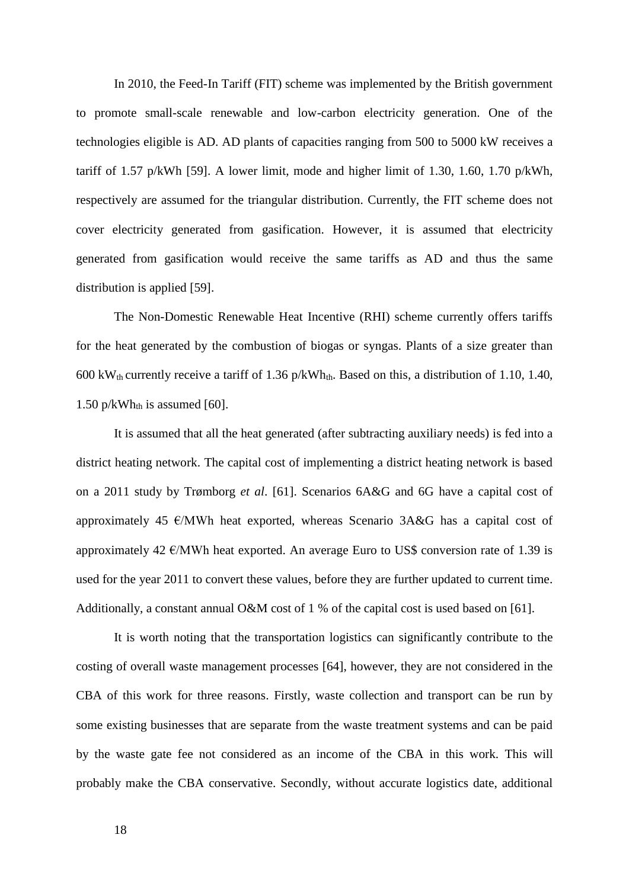In 2010, the Feed-In Tariff (FIT) scheme was implemented by the British government to promote small-scale renewable and low-carbon electricity generation. One of the technologies eligible is AD. AD plants of capacities ranging from 500 to 5000 kW receives a tariff of 1.57 p/kWh [59]. A lower limit, mode and higher limit of 1.30, 1.60, 1.70 p/kWh, respectively are assumed for the triangular distribution. Currently, the FIT scheme does not cover electricity generated from gasification. However, it is assumed that electricity generated from gasification would receive the same tariffs as AD and thus the same distribution is applied [59].

The Non-Domestic Renewable Heat Incentive (RHI) scheme currently offers tariffs for the heat generated by the combustion of biogas or syngas. Plants of a size greater than 600 kW<sub>th</sub> currently receive a tariff of 1.36 p/kWh<sub>th</sub>. Based on this, a distribution of 1.10, 1.40, 1.50 p/kWh<sub>th</sub> is assumed [60].

It is assumed that all the heat generated (after subtracting auxiliary needs) is fed into a district heating network. The capital cost of implementing a district heating network is based on a 2011 study by Trømborg *et al*. [61]. Scenarios 6A&G and 6G have a capital cost of approximately 45  $\epsilon$ /MWh heat exported, whereas Scenario 3A&G has a capital cost of approximately 42  $\epsilon$ /MWh heat exported. An average Euro to US\$ conversion rate of 1.39 is used for the year 2011 to convert these values, before they are further updated to current time. Additionally, a constant annual O&M cost of 1 % of the capital cost is used based on [61].

It is worth noting that the transportation logistics can significantly contribute to the costing of overall waste management processes [64], however, they are not considered in the CBA of this work for three reasons. Firstly, waste collection and transport can be run by some existing businesses that are separate from the waste treatment systems and can be paid by the waste gate fee not considered as an income of the CBA in this work. This will probably make the CBA conservative. Secondly, without accurate logistics date, additional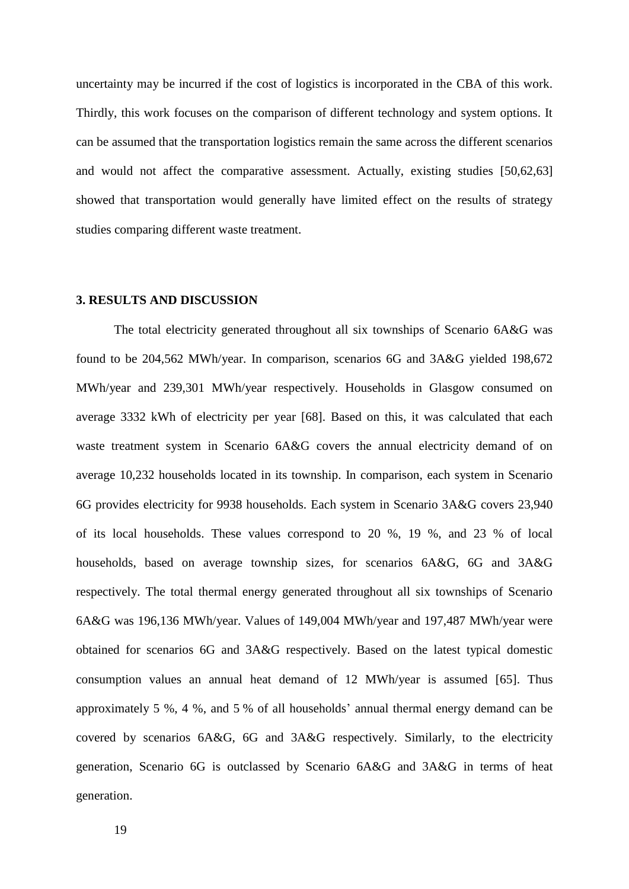uncertainty may be incurred if the cost of logistics is incorporated in the CBA of this work. Thirdly, this work focuses on the comparison of different technology and system options. It can be assumed that the transportation logistics remain the same across the different scenarios and would not affect the comparative assessment. Actually, existing studies [50,62,63] showed that transportation would generally have limited effect on the results of strategy studies comparing different waste treatment.

#### **3. RESULTS AND DISCUSSION**

The total electricity generated throughout all six townships of Scenario 6A&G was found to be 204,562 MWh/year. In comparison, scenarios 6G and 3A&G yielded 198,672 MWh/year and 239,301 MWh/year respectively. Households in Glasgow consumed on average 3332 kWh of electricity per year [68]. Based on this, it was calculated that each waste treatment system in Scenario 6A&G covers the annual electricity demand of on average 10,232 households located in its township. In comparison, each system in Scenario 6G provides electricity for 9938 households. Each system in Scenario 3A&G covers 23,940 of its local households. These values correspond to 20 %, 19 %, and 23 % of local households, based on average township sizes, for scenarios 6A&G, 6G and 3A&G respectively. The total thermal energy generated throughout all six townships of Scenario 6A&G was 196,136 MWh/year. Values of 149,004 MWh/year and 197,487 MWh/year were obtained for scenarios 6G and 3A&G respectively. Based on the latest typical domestic consumption values an annual heat demand of 12 MWh/year is assumed [65]. Thus approximately 5 %, 4 %, and 5 % of all households' annual thermal energy demand can be covered by scenarios 6A&G, 6G and 3A&G respectively. Similarly, to the electricity generation, Scenario 6G is outclassed by Scenario 6A&G and 3A&G in terms of heat generation.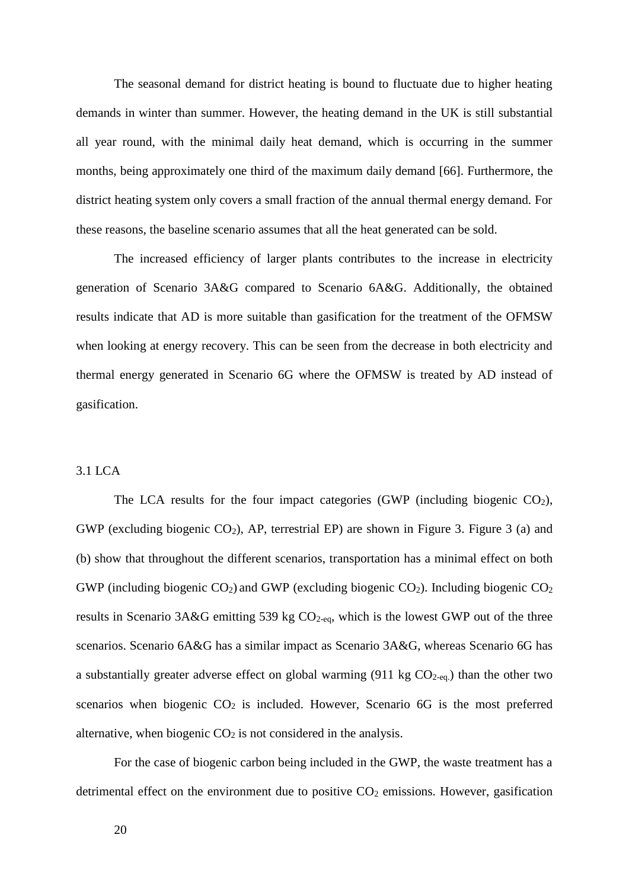The seasonal demand for district heating is bound to fluctuate due to higher heating demands in winter than summer. However, the heating demand in the UK is still substantial all year round, with the minimal daily heat demand, which is occurring in the summer months, being approximately one third of the maximum daily demand [66]. Furthermore, the district heating system only covers a small fraction of the annual thermal energy demand. For these reasons, the baseline scenario assumes that all the heat generated can be sold.

The increased efficiency of larger plants contributes to the increase in electricity generation of Scenario 3A&G compared to Scenario 6A&G. Additionally, the obtained results indicate that AD is more suitable than gasification for the treatment of the OFMSW when looking at energy recovery. This can be seen from the decrease in both electricity and thermal energy generated in Scenario 6G where the OFMSW is treated by AD instead of gasification.

# 3.1 LCA

The LCA results for the four impact categories (GWP (including biogenic  $CO<sub>2</sub>$ ), GWP (excluding biogenic  $CO<sub>2</sub>$ ), AP, terrestrial EP) are shown in Figure 3. Figure 3 (a) and (b) show that throughout the different scenarios, transportation has a minimal effect on both GWP (including biogenic  $CO_2$ ) and GWP (excluding biogenic  $CO_2$ ). Including biogenic  $CO_2$ results in Scenario 3A&G emitting 539 kg  $CO<sub>2-eq</sub>$ , which is the lowest GWP out of the three scenarios. Scenario 6A&G has a similar impact as Scenario 3A&G, whereas Scenario 6G has a substantially greater adverse effect on global warming  $(911 \text{ kg } CO_{2\text{-eq.}})$  than the other two scenarios when biogenic  $CO<sub>2</sub>$  is included. However, Scenario 6G is the most preferred alternative, when biogenic  $CO<sub>2</sub>$  is not considered in the analysis.

For the case of biogenic carbon being included in the GWP, the waste treatment has a detrimental effect on the environment due to positive  $CO<sub>2</sub>$  emissions. However, gasification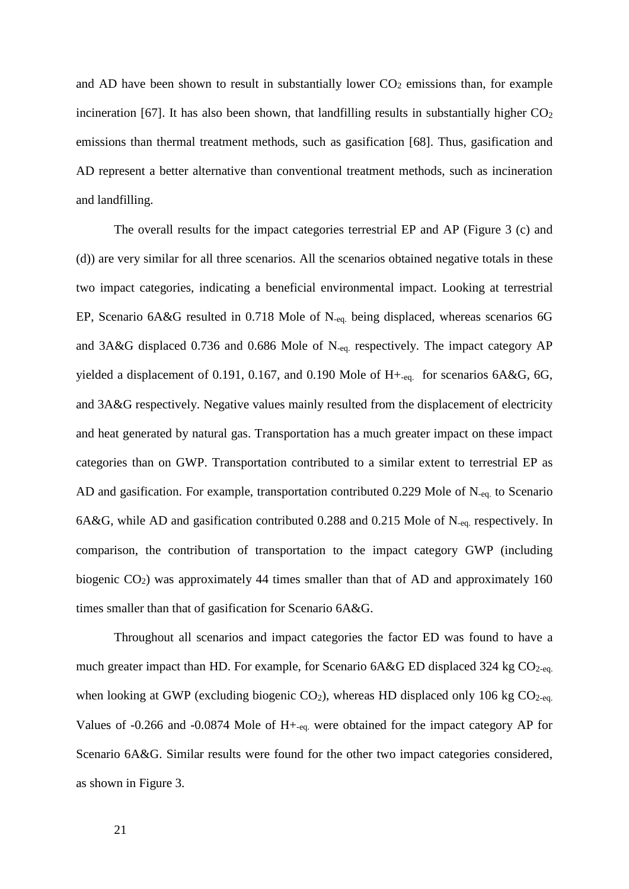and AD have been shown to result in substantially lower  $CO<sub>2</sub>$  emissions than, for example incineration [67]. It has also been shown, that landfilling results in substantially higher  $CO<sub>2</sub>$ emissions than thermal treatment methods, such as gasification [68]. Thus, gasification and AD represent a better alternative than conventional treatment methods, such as incineration and landfilling.

The overall results for the impact categories terrestrial EP and AP (Figure 3 (c) and (d)) are very similar for all three scenarios. All the scenarios obtained negative totals in these two impact categories, indicating a beneficial environmental impact. Looking at terrestrial EP, Scenario 6A&G resulted in 0.718 Mole of N-eq. being displaced, whereas scenarios 6G and 3A&G displaced 0.736 and 0.686 Mole of N-eq. respectively. The impact category AP yielded a displacement of 0.191, 0.167, and 0.190 Mole of  $H_{\text{+eq}}$  for scenarios 6A&G, 6G, and 3A&G respectively. Negative values mainly resulted from the displacement of electricity and heat generated by natural gas. Transportation has a much greater impact on these impact categories than on GWP. Transportation contributed to a similar extent to terrestrial EP as AD and gasification. For example, transportation contributed 0.229 Mole of N-eq. to Scenario 6A&G, while AD and gasification contributed 0.288 and 0.215 Mole of N-eq. respectively. In comparison, the contribution of transportation to the impact category GWP (including biogenic  $CO<sub>2</sub>$ ) was approximately 44 times smaller than that of AD and approximately 160 times smaller than that of gasification for Scenario 6A&G.

Throughout all scenarios and impact categories the factor ED was found to have a much greater impact than HD. For example, for Scenario  $6A&G$  ED displaced 324 kg  $CO<sub>2-eq</sub>$ . when looking at GWP (excluding biogenic  $CO<sub>2</sub>$ ), whereas HD displaced only 106 kg  $CO<sub>2-eq</sub>$ . Values of -0.266 and -0.0874 Mole of H+-eq. were obtained for the impact category AP for Scenario 6A&G. Similar results were found for the other two impact categories considered, as shown in Figure 3.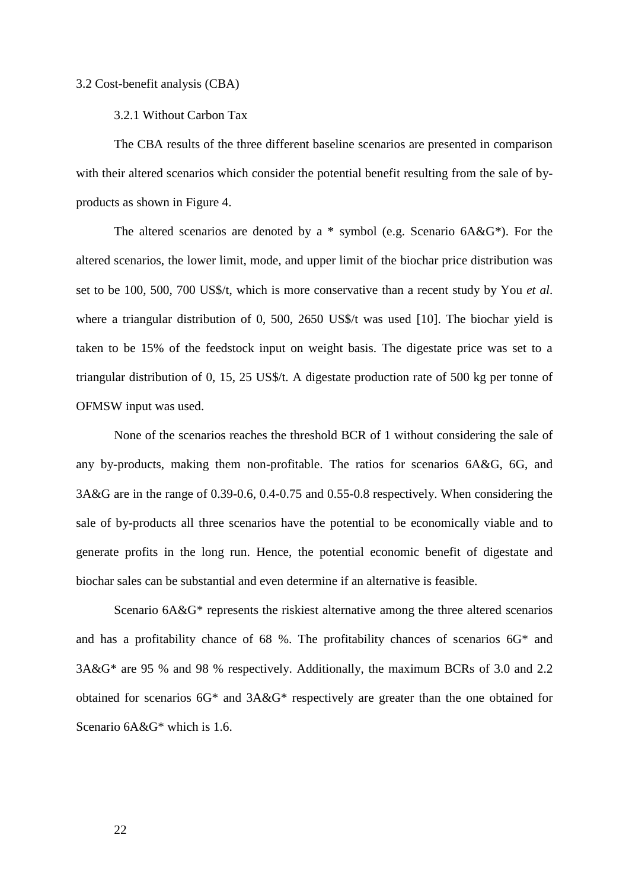#### 3.2 Cost-benefit analysis (CBA)

#### 3.2.1 Without Carbon Tax

The CBA results of the three different baseline scenarios are presented in comparison with their altered scenarios which consider the potential benefit resulting from the sale of byproducts as shown in Figure 4.

The altered scenarios are denoted by a  $*$  symbol (e.g. Scenario 6A&G $*$ ). For the altered scenarios, the lower limit, mode, and upper limit of the biochar price distribution was set to be 100, 500, 700 US\$/t, which is more conservative than a recent study by You *et al*. where a triangular distribution of 0, 500, 2650 US\$/t was used [10]. The biochar yield is taken to be 15% of the feedstock input on weight basis. The digestate price was set to a triangular distribution of 0, 15, 25 US\$/t. A digestate production rate of 500 kg per tonne of OFMSW input was used.

None of the scenarios reaches the threshold BCR of 1 without considering the sale of any by-products, making them non-profitable. The ratios for scenarios 6A&G, 6G, and 3A&G are in the range of 0.39-0.6, 0.4-0.75 and 0.55-0.8 respectively. When considering the sale of by-products all three scenarios have the potential to be economically viable and to generate profits in the long run. Hence, the potential economic benefit of digestate and biochar sales can be substantial and even determine if an alternative is feasible.

Scenario 6A&G\* represents the riskiest alternative among the three altered scenarios and has a profitability chance of 68 %. The profitability chances of scenarios 6G\* and 3A&G\* are 95 % and 98 % respectively. Additionally, the maximum BCRs of 3.0 and 2.2 obtained for scenarios 6G\* and 3A&G\* respectively are greater than the one obtained for Scenario 6A&G\* which is 1.6.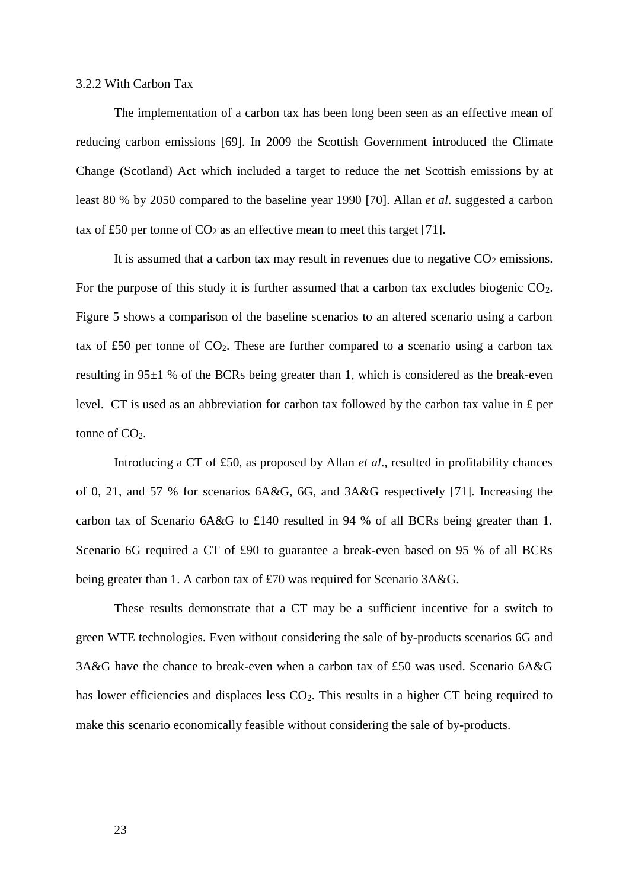### 3.2.2 With Carbon Tax

The implementation of a carbon tax has been long been seen as an effective mean of reducing carbon emissions [69]. In 2009 the Scottish Government introduced the Climate Change (Scotland) Act which included a target to reduce the net Scottish emissions by at least 80 % by 2050 compared to the baseline year 1990 [70]. Allan *et al*. suggested a carbon tax of £50 per tonne of  $CO<sub>2</sub>$  as an effective mean to meet this target [71].

It is assumed that a carbon tax may result in revenues due to negative  $CO<sub>2</sub>$  emissions. For the purpose of this study it is further assumed that a carbon tax excludes biogenic  $CO<sub>2</sub>$ . Figure 5 shows a comparison of the baseline scenarios to an altered scenario using a carbon tax of £50 per tonne of  $CO<sub>2</sub>$ . These are further compared to a scenario using a carbon tax resulting in 95±1 % of the BCRs being greater than 1, which is considered as the break-even level. CT is used as an abbreviation for carbon tax followed by the carbon tax value in £ per tonne of  $CO<sub>2</sub>$ .

Introducing a CT of £50, as proposed by Allan *et al*., resulted in profitability chances of 0, 21, and 57 % for scenarios 6A&G, 6G, and 3A&G respectively [71]. Increasing the carbon tax of Scenario 6A&G to £140 resulted in 94 % of all BCRs being greater than 1. Scenario 6G required a CT of £90 to guarantee a break-even based on 95 % of all BCRs being greater than 1. A carbon tax of £70 was required for Scenario 3A&G.

These results demonstrate that a CT may be a sufficient incentive for a switch to green WTE technologies. Even without considering the sale of by-products scenarios 6G and 3A&G have the chance to break-even when a carbon tax of £50 was used. Scenario 6A&G has lower efficiencies and displaces less  $CO<sub>2</sub>$ . This results in a higher CT being required to make this scenario economically feasible without considering the sale of by-products.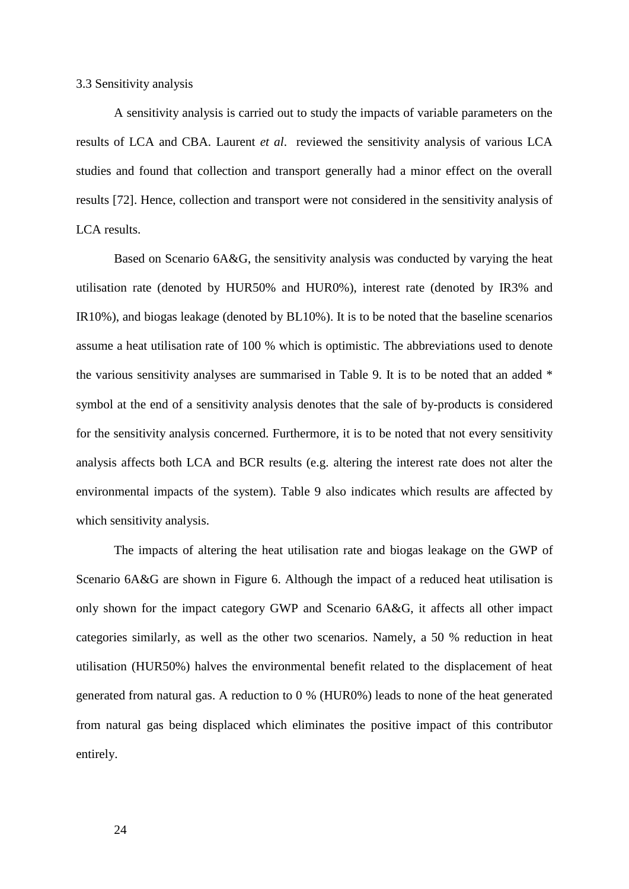## 3.3 Sensitivity analysis

A sensitivity analysis is carried out to study the impacts of variable parameters on the results of LCA and CBA. Laurent *et al*. reviewed the sensitivity analysis of various LCA studies and found that collection and transport generally had a minor effect on the overall results [72]. Hence, collection and transport were not considered in the sensitivity analysis of LCA results.

Based on Scenario 6A&G, the sensitivity analysis was conducted by varying the heat utilisation rate (denoted by HUR50% and HUR0%), interest rate (denoted by IR3% and IR10%), and biogas leakage (denoted by BL10%). It is to be noted that the baseline scenarios assume a heat utilisation rate of 100 % which is optimistic. The abbreviations used to denote the various sensitivity analyses are summarised in Table 9. It is to be noted that an added \* symbol at the end of a sensitivity analysis denotes that the sale of by-products is considered for the sensitivity analysis concerned. Furthermore, it is to be noted that not every sensitivity analysis affects both LCA and BCR results (e.g. altering the interest rate does not alter the environmental impacts of the system). Table 9 also indicates which results are affected by which sensitivity analysis.

The impacts of altering the heat utilisation rate and biogas leakage on the GWP of Scenario 6A&G are shown in Figure 6. Although the impact of a reduced heat utilisation is only shown for the impact category GWP and Scenario 6A&G, it affects all other impact categories similarly, as well as the other two scenarios. Namely, a 50 % reduction in heat utilisation (HUR50%) halves the environmental benefit related to the displacement of heat generated from natural gas. A reduction to 0 % (HUR0%) leads to none of the heat generated from natural gas being displaced which eliminates the positive impact of this contributor entirely.

24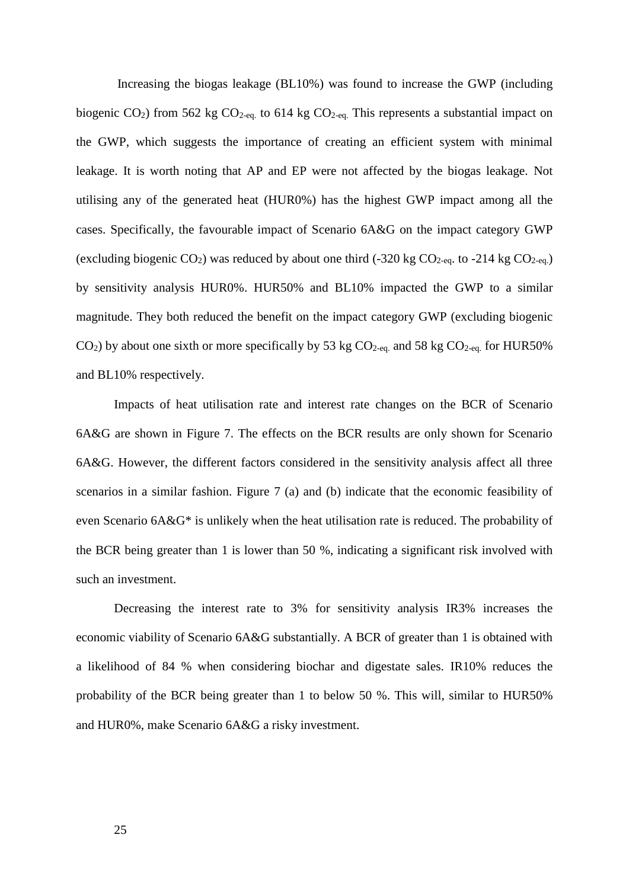Increasing the biogas leakage (BL10%) was found to increase the GWP (including biogenic CO<sub>2</sub>) from 562 kg CO<sub>2-eq.</sub> to 614 kg CO<sub>2-eq.</sub> This represents a substantial impact on the GWP, which suggests the importance of creating an efficient system with minimal leakage. It is worth noting that AP and EP were not affected by the biogas leakage. Not utilising any of the generated heat (HUR0%) has the highest GWP impact among all the cases. Specifically, the favourable impact of Scenario 6A&G on the impact category GWP (excluding biogenic CO<sub>2</sub>) was reduced by about one third (-320 kg CO<sub>2-eq</sub>. to -214 kg CO<sub>2-eq.</sub>) by sensitivity analysis HUR0%. HUR50% and BL10% impacted the GWP to a similar magnitude. They both reduced the benefit on the impact category GWP (excluding biogenic  $CO<sub>2</sub>$ ) by about one sixth or more specifically by 53 kg  $CO<sub>2</sub>$ -eq. and 58 kg  $CO<sub>2</sub>$ -eq. for HUR50% and BL10% respectively.

Impacts of heat utilisation rate and interest rate changes on the BCR of Scenario 6A&G are shown in Figure 7. The effects on the BCR results are only shown for Scenario 6A&G. However, the different factors considered in the sensitivity analysis affect all three scenarios in a similar fashion. Figure 7 (a) and (b) indicate that the economic feasibility of even Scenario 6A&G\* is unlikely when the heat utilisation rate is reduced. The probability of the BCR being greater than 1 is lower than 50 %, indicating a significant risk involved with such an investment.

Decreasing the interest rate to 3% for sensitivity analysis IR3% increases the economic viability of Scenario 6A&G substantially. A BCR of greater than 1 is obtained with a likelihood of 84 % when considering biochar and digestate sales. IR10% reduces the probability of the BCR being greater than 1 to below 50 %. This will, similar to HUR50% and HUR0%, make Scenario 6A&G a risky investment.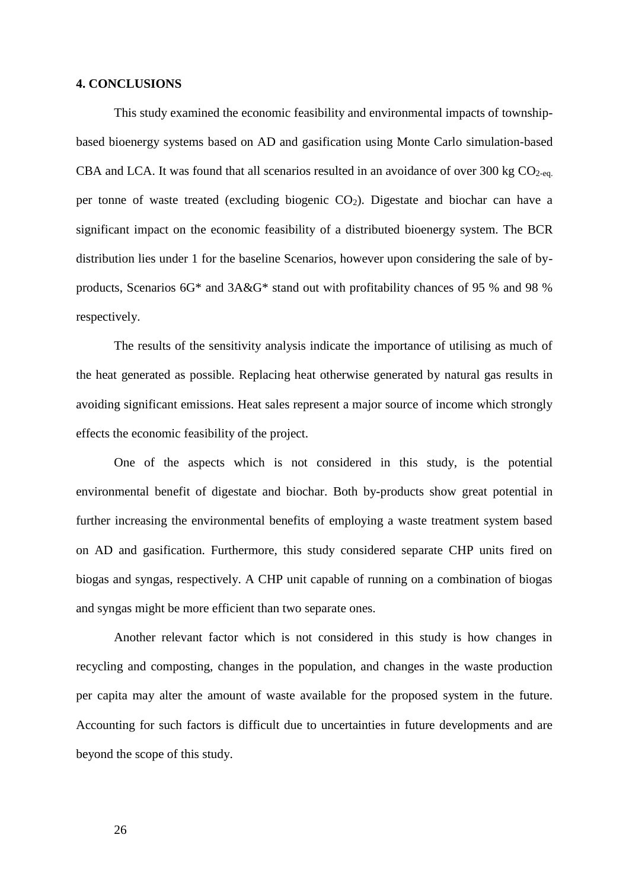#### **4. CONCLUSIONS**

This study examined the economic feasibility and environmental impacts of townshipbased bioenergy systems based on AD and gasification using Monte Carlo simulation-based CBA and LCA. It was found that all scenarios resulted in an avoidance of over 300 kg  $CO<sub>2-ea</sub>$ . per tonne of waste treated (excluding biogenic  $CO<sub>2</sub>$ ). Digestate and biochar can have a significant impact on the economic feasibility of a distributed bioenergy system. The BCR distribution lies under 1 for the baseline Scenarios, however upon considering the sale of byproducts, Scenarios 6G\* and 3A&G\* stand out with profitability chances of 95 % and 98 % respectively.

The results of the sensitivity analysis indicate the importance of utilising as much of the heat generated as possible. Replacing heat otherwise generated by natural gas results in avoiding significant emissions. Heat sales represent a major source of income which strongly effects the economic feasibility of the project.

One of the aspects which is not considered in this study, is the potential environmental benefit of digestate and biochar. Both by-products show great potential in further increasing the environmental benefits of employing a waste treatment system based on AD and gasification. Furthermore, this study considered separate CHP units fired on biogas and syngas, respectively. A CHP unit capable of running on a combination of biogas and syngas might be more efficient than two separate ones.

Another relevant factor which is not considered in this study is how changes in recycling and composting, changes in the population, and changes in the waste production per capita may alter the amount of waste available for the proposed system in the future. Accounting for such factors is difficult due to uncertainties in future developments and are beyond the scope of this study.

26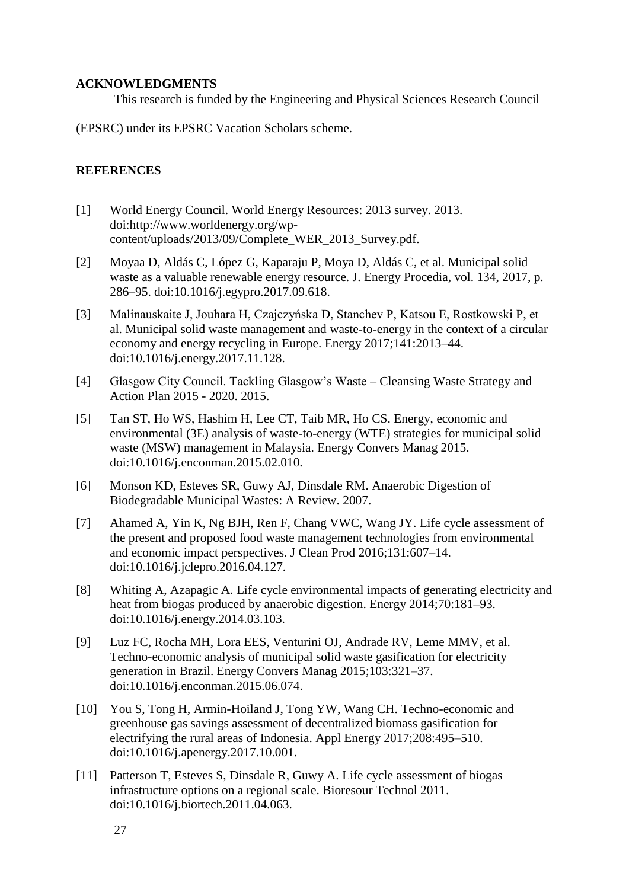## **ACKNOWLEDGMENTS**

This research is funded by the Engineering and Physical Sciences Research Council

(EPSRC) under its EPSRC Vacation Scholars scheme.

# **REFERENCES**

- [1] World Energy Council. World Energy Resources: 2013 survey. 2013. doi:http://www.worldenergy.org/wpcontent/uploads/2013/09/Complete\_WER\_2013\_Survey.pdf.
- [2] Moyaa D, Aldás C, López G, Kaparaju P, Moya D, Aldás C, et al. Municipal solid waste as a valuable renewable energy resource. J. Energy Procedia, vol. 134, 2017, p. 286–95. doi:10.1016/j.egypro.2017.09.618.
- [3] Malinauskaite J, Jouhara H, Czajczyńska D, Stanchev P, Katsou E, Rostkowski P, et al. Municipal solid waste management and waste-to-energy in the context of a circular economy and energy recycling in Europe. Energy 2017;141:2013–44. doi:10.1016/j.energy.2017.11.128.
- [4] Glasgow City Council. Tackling Glasgow's Waste Cleansing Waste Strategy and Action Plan 2015 - 2020. 2015.
- [5] Tan ST, Ho WS, Hashim H, Lee CT, Taib MR, Ho CS. Energy, economic and environmental (3E) analysis of waste-to-energy (WTE) strategies for municipal solid waste (MSW) management in Malaysia. Energy Convers Manag 2015. doi:10.1016/j.enconman.2015.02.010.
- [6] Monson KD, Esteves SR, Guwy AJ, Dinsdale RM. Anaerobic Digestion of Biodegradable Municipal Wastes: A Review. 2007.
- [7] Ahamed A, Yin K, Ng BJH, Ren F, Chang VWC, Wang JY. Life cycle assessment of the present and proposed food waste management technologies from environmental and economic impact perspectives. J Clean Prod 2016;131:607–14. doi:10.1016/j.jclepro.2016.04.127.
- [8] Whiting A, Azapagic A. Life cycle environmental impacts of generating electricity and heat from biogas produced by anaerobic digestion. Energy 2014;70:181–93. doi:10.1016/j.energy.2014.03.103.
- [9] Luz FC, Rocha MH, Lora EES, Venturini OJ, Andrade RV, Leme MMV, et al. Techno-economic analysis of municipal solid waste gasification for electricity generation in Brazil. Energy Convers Manag 2015;103:321–37. doi:10.1016/j.enconman.2015.06.074.
- [10] You S, Tong H, Armin-Hoiland J, Tong YW, Wang CH. Techno-economic and greenhouse gas savings assessment of decentralized biomass gasification for electrifying the rural areas of Indonesia. Appl Energy 2017;208:495–510. doi:10.1016/j.apenergy.2017.10.001.
- [11] Patterson T, Esteves S, Dinsdale R, Guwy A. Life cycle assessment of biogas infrastructure options on a regional scale. Bioresour Technol 2011. doi:10.1016/j.biortech.2011.04.063.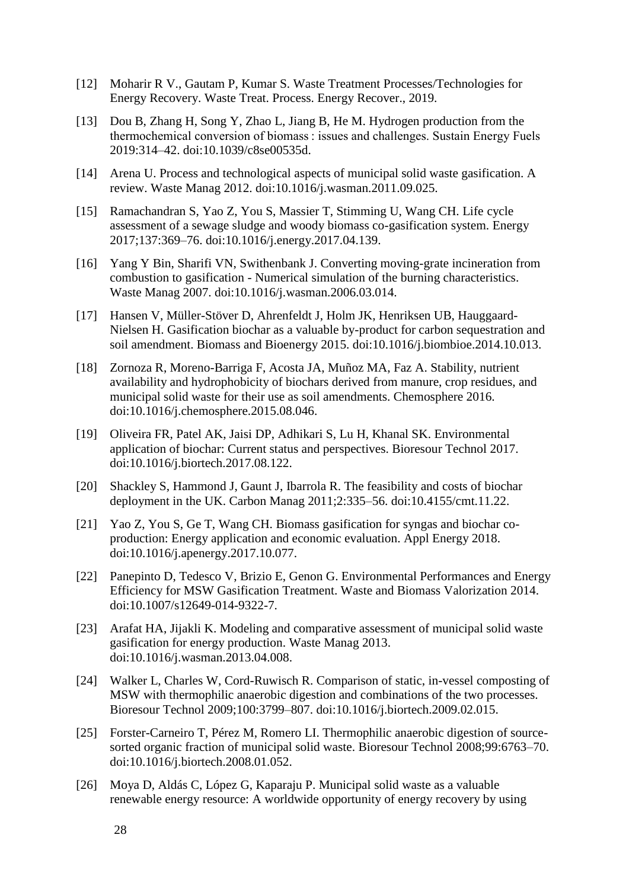- [12] Moharir R V., Gautam P, Kumar S. Waste Treatment Processes/Technologies for Energy Recovery. Waste Treat. Process. Energy Recover., 2019.
- [13] Dou B, Zhang H, Song Y, Zhao L, Jiang B, He M. Hydrogen production from the thermochemical conversion of biomass : issues and challenges. Sustain Energy Fuels 2019:314–42. doi:10.1039/c8se00535d.
- [14] Arena U. Process and technological aspects of municipal solid waste gasification. A review. Waste Manag 2012. doi:10.1016/j.wasman.2011.09.025.
- [15] Ramachandran S, Yao Z, You S, Massier T, Stimming U, Wang CH. Life cycle assessment of a sewage sludge and woody biomass co-gasification system. Energy 2017;137:369–76. doi:10.1016/j.energy.2017.04.139.
- [16] Yang Y Bin, Sharifi VN, Swithenbank J. Converting moving-grate incineration from combustion to gasification - Numerical simulation of the burning characteristics. Waste Manag 2007. doi:10.1016/j.wasman.2006.03.014.
- [17] Hansen V, Müller-Stöver D, Ahrenfeldt J, Holm JK, Henriksen UB, Hauggaard-Nielsen H. Gasification biochar as a valuable by-product for carbon sequestration and soil amendment. Biomass and Bioenergy 2015. doi:10.1016/j.biombioe.2014.10.013.
- [18] Zornoza R, Moreno-Barriga F, Acosta JA, Muñoz MA, Faz A. Stability, nutrient availability and hydrophobicity of biochars derived from manure, crop residues, and municipal solid waste for their use as soil amendments. Chemosphere 2016. doi:10.1016/j.chemosphere.2015.08.046.
- [19] Oliveira FR, Patel AK, Jaisi DP, Adhikari S, Lu H, Khanal SK. Environmental application of biochar: Current status and perspectives. Bioresour Technol 2017. doi:10.1016/j.biortech.2017.08.122.
- [20] Shackley S, Hammond J, Gaunt J, Ibarrola R. The feasibility and costs of biochar deployment in the UK. Carbon Manag 2011;2:335–56. doi:10.4155/cmt.11.22.
- [21] Yao Z, You S, Ge T, Wang CH. Biomass gasification for syngas and biochar coproduction: Energy application and economic evaluation. Appl Energy 2018. doi:10.1016/j.apenergy.2017.10.077.
- [22] Panepinto D, Tedesco V, Brizio E, Genon G. Environmental Performances and Energy Efficiency for MSW Gasification Treatment. Waste and Biomass Valorization 2014. doi:10.1007/s12649-014-9322-7.
- [23] Arafat HA, Jijakli K. Modeling and comparative assessment of municipal solid waste gasification for energy production. Waste Manag 2013. doi:10.1016/j.wasman.2013.04.008.
- [24] Walker L, Charles W, Cord-Ruwisch R. Comparison of static, in-vessel composting of MSW with thermophilic anaerobic digestion and combinations of the two processes. Bioresour Technol 2009;100:3799–807. doi:10.1016/j.biortech.2009.02.015.
- [25] Forster-Carneiro T, Pérez M, Romero LI. Thermophilic anaerobic digestion of sourcesorted organic fraction of municipal solid waste. Bioresour Technol 2008;99:6763–70. doi:10.1016/j.biortech.2008.01.052.
- [26] Moya D, Aldás C, López G, Kaparaju P. Municipal solid waste as a valuable renewable energy resource: A worldwide opportunity of energy recovery by using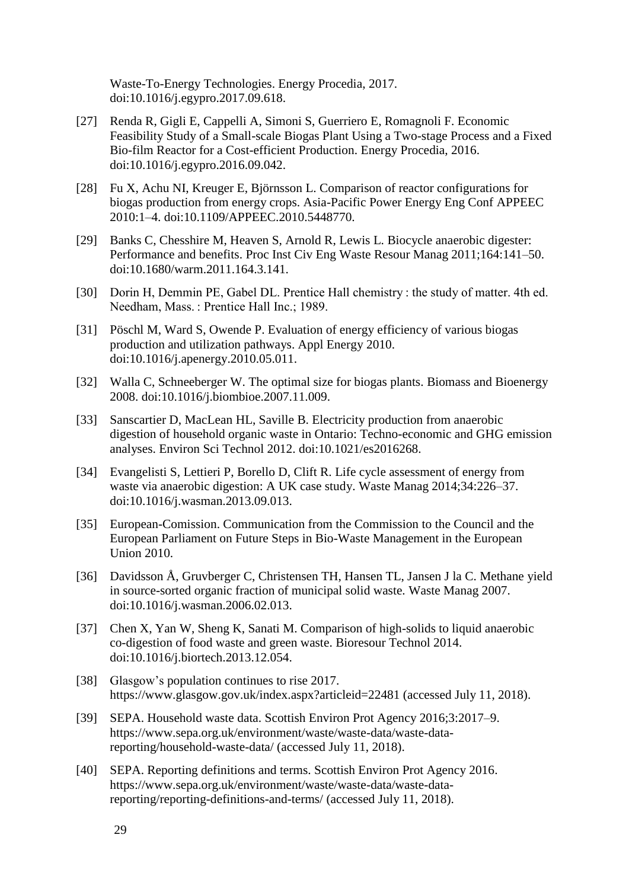Waste-To-Energy Technologies. Energy Procedia, 2017. doi:10.1016/j.egypro.2017.09.618.

- [27] Renda R, Gigli E, Cappelli A, Simoni S, Guerriero E, Romagnoli F. Economic Feasibility Study of a Small-scale Biogas Plant Using a Two-stage Process and a Fixed Bio-film Reactor for a Cost-efficient Production. Energy Procedia, 2016. doi:10.1016/j.egypro.2016.09.042.
- [28] Fu X, Achu NI, Kreuger E, Björnsson L. Comparison of reactor configurations for biogas production from energy crops. Asia-Pacific Power Energy Eng Conf APPEEC 2010:1–4. doi:10.1109/APPEEC.2010.5448770.
- [29] Banks C, Chesshire M, Heaven S, Arnold R, Lewis L. Biocycle anaerobic digester: Performance and benefits. Proc Inst Civ Eng Waste Resour Manag 2011;164:141–50. doi:10.1680/warm.2011.164.3.141.
- [30] Dorin H, Demmin PE, Gabel DL. Prentice Hall chemistry : the study of matter. 4th ed. Needham, Mass. : Prentice Hall Inc.; 1989.
- [31] Pöschl M, Ward S, Owende P. Evaluation of energy efficiency of various biogas production and utilization pathways. Appl Energy 2010. doi:10.1016/j.apenergy.2010.05.011.
- [32] Walla C, Schneeberger W. The optimal size for biogas plants. Biomass and Bioenergy 2008. doi:10.1016/j.biombioe.2007.11.009.
- [33] Sanscartier D, MacLean HL, Saville B. Electricity production from anaerobic digestion of household organic waste in Ontario: Techno-economic and GHG emission analyses. Environ Sci Technol 2012. doi:10.1021/es2016268.
- [34] Evangelisti S, Lettieri P, Borello D, Clift R. Life cycle assessment of energy from waste via anaerobic digestion: A UK case study. Waste Manag 2014;34:226–37. doi:10.1016/j.wasman.2013.09.013.
- [35] European-Comission. Communication from the Commission to the Council and the European Parliament on Future Steps in Bio-Waste Management in the European Union 2010.
- [36] Davidsson Å, Gruvberger C, Christensen TH, Hansen TL, Jansen J la C. Methane yield in source-sorted organic fraction of municipal solid waste. Waste Manag 2007. doi:10.1016/j.wasman.2006.02.013.
- [37] Chen X, Yan W, Sheng K, Sanati M. Comparison of high-solids to liquid anaerobic co-digestion of food waste and green waste. Bioresour Technol 2014. doi:10.1016/j.biortech.2013.12.054.
- [38] Glasgow's population continues to rise 2017. https://www.glasgow.gov.uk/index.aspx?articleid=22481 (accessed July 11, 2018).
- [39] SEPA. Household waste data. Scottish Environ Prot Agency 2016;3:2017–9. https://www.sepa.org.uk/environment/waste/waste-data/waste-datareporting/household-waste-data/ (accessed July 11, 2018).
- [40] SEPA. Reporting definitions and terms. Scottish Environ Prot Agency 2016. https://www.sepa.org.uk/environment/waste/waste-data/waste-datareporting/reporting-definitions-and-terms/ (accessed July 11, 2018).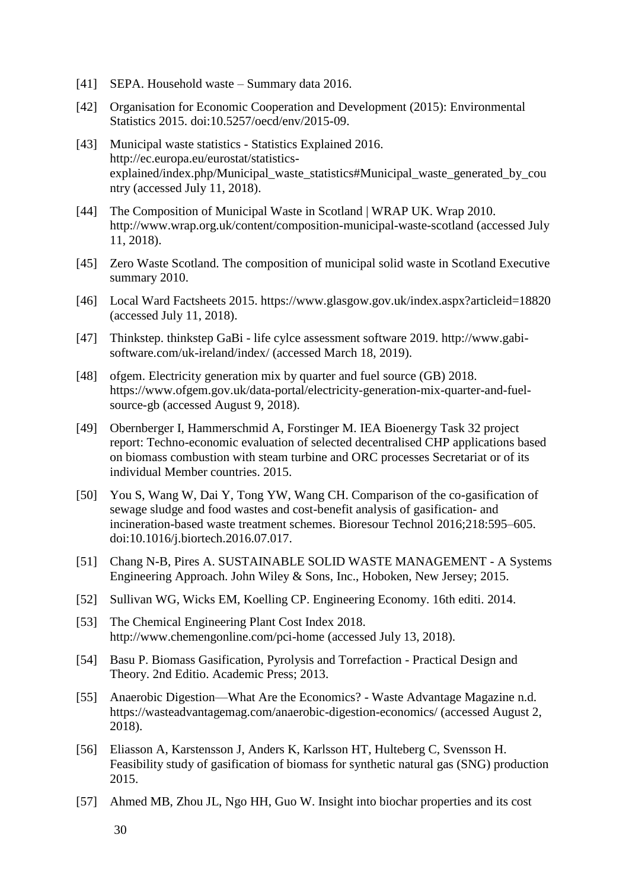- [41] SEPA. Household waste Summary data 2016.
- [42] Organisation for Economic Cooperation and Development (2015): Environmental Statistics 2015. doi:10.5257/oecd/env/2015-09.
- [43] Municipal waste statistics Statistics Explained 2016. http://ec.europa.eu/eurostat/statisticsexplained/index.php/Municipal\_waste\_statistics#Municipal\_waste\_generated\_by\_cou ntry (accessed July 11, 2018).
- [44] The Composition of Municipal Waste in Scotland | WRAP UK. Wrap 2010. http://www.wrap.org.uk/content/composition-municipal-waste-scotland (accessed July 11, 2018).
- [45] Zero Waste Scotland. The composition of municipal solid waste in Scotland Executive summary 2010.
- [46] Local Ward Factsheets 2015. https://www.glasgow.gov.uk/index.aspx?articleid=18820 (accessed July 11, 2018).
- [47] Thinkstep. thinkstep GaBi life cylce assessment software 2019. http://www.gabisoftware.com/uk-ireland/index/ (accessed March 18, 2019).
- [48] ofgem. Electricity generation mix by quarter and fuel source (GB) 2018. https://www.ofgem.gov.uk/data-portal/electricity-generation-mix-quarter-and-fuelsource-gb (accessed August 9, 2018).
- [49] Obernberger I, Hammerschmid A, Forstinger M. IEA Bioenergy Task 32 project report: Techno-economic evaluation of selected decentralised CHP applications based on biomass combustion with steam turbine and ORC processes Secretariat or of its individual Member countries. 2015.
- [50] You S, Wang W, Dai Y, Tong YW, Wang CH. Comparison of the co-gasification of sewage sludge and food wastes and cost-benefit analysis of gasification- and incineration-based waste treatment schemes. Bioresour Technol 2016;218:595–605. doi:10.1016/j.biortech.2016.07.017.
- [51] Chang N-B, Pires A. SUSTAINABLE SOLID WASTE MANAGEMENT A Systems Engineering Approach. John Wiley & Sons, Inc., Hoboken, New Jersey; 2015.
- [52] Sullivan WG, Wicks EM, Koelling CP. Engineering Economy. 16th editi. 2014.
- [53] The Chemical Engineering Plant Cost Index 2018. http://www.chemengonline.com/pci-home (accessed July 13, 2018).
- [54] Basu P. Biomass Gasification, Pyrolysis and Torrefaction Practical Design and Theory. 2nd Editio. Academic Press; 2013.
- [55] Anaerobic Digestion—What Are the Economics? Waste Advantage Magazine n.d. https://wasteadvantagemag.com/anaerobic-digestion-economics/ (accessed August 2, 2018).
- [56] Eliasson A, Karstensson J, Anders K, Karlsson HT, Hulteberg C, Svensson H. Feasibility study of gasification of biomass for synthetic natural gas (SNG) production 2015.
- [57] Ahmed MB, Zhou JL, Ngo HH, Guo W. Insight into biochar properties and its cost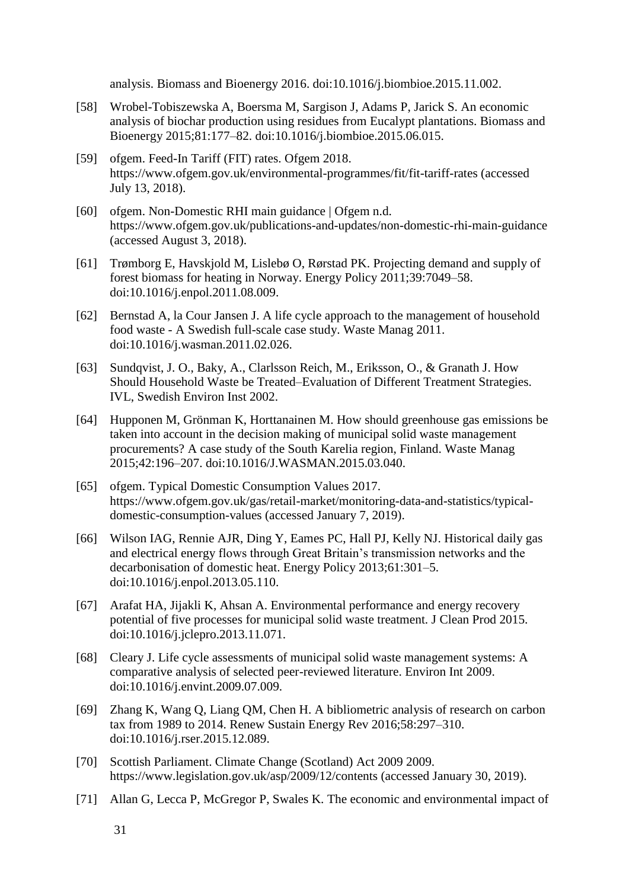analysis. Biomass and Bioenergy 2016. doi:10.1016/j.biombioe.2015.11.002.

- [58] Wrobel-Tobiszewska A, Boersma M, Sargison J, Adams P, Jarick S. An economic analysis of biochar production using residues from Eucalypt plantations. Biomass and Bioenergy 2015;81:177–82. doi:10.1016/j.biombioe.2015.06.015.
- [59] ofgem. Feed-In Tariff (FIT) rates. Ofgem 2018. https://www.ofgem.gov.uk/environmental-programmes/fit/fit-tariff-rates (accessed July 13, 2018).
- [60] ofgem. Non-Domestic RHI main guidance | Ofgem n.d. https://www.ofgem.gov.uk/publications-and-updates/non-domestic-rhi-main-guidance (accessed August 3, 2018).
- [61] Trømborg E, Havskjold M, Lislebø O, Rørstad PK. Projecting demand and supply of forest biomass for heating in Norway. Energy Policy 2011;39:7049–58. doi:10.1016/j.enpol.2011.08.009.
- [62] Bernstad A, la Cour Jansen J. A life cycle approach to the management of household food waste - A Swedish full-scale case study. Waste Manag 2011. doi:10.1016/j.wasman.2011.02.026.
- [63] Sundqvist, J. O., Baky, A., Clarlsson Reich, M., Eriksson, O., & Granath J. How Should Household Waste be Treated–Evaluation of Different Treatment Strategies. IVL, Swedish Environ Inst 2002.
- [64] Hupponen M, Grönman K, Horttanainen M. How should greenhouse gas emissions be taken into account in the decision making of municipal solid waste management procurements? A case study of the South Karelia region, Finland. Waste Manag 2015;42:196–207. doi:10.1016/J.WASMAN.2015.03.040.
- [65] ofgem. Typical Domestic Consumption Values 2017. https://www.ofgem.gov.uk/gas/retail-market/monitoring-data-and-statistics/typicaldomestic-consumption-values (accessed January 7, 2019).
- [66] Wilson IAG, Rennie AJR, Ding Y, Eames PC, Hall PJ, Kelly NJ. Historical daily gas and electrical energy flows through Great Britain's transmission networks and the decarbonisation of domestic heat. Energy Policy 2013;61:301–5. doi:10.1016/j.enpol.2013.05.110.
- [67] Arafat HA, Jijakli K, Ahsan A. Environmental performance and energy recovery potential of five processes for municipal solid waste treatment. J Clean Prod 2015. doi:10.1016/j.jclepro.2013.11.071.
- [68] Cleary J. Life cycle assessments of municipal solid waste management systems: A comparative analysis of selected peer-reviewed literature. Environ Int 2009. doi:10.1016/j.envint.2009.07.009.
- [69] Zhang K, Wang Q, Liang QM, Chen H. A bibliometric analysis of research on carbon tax from 1989 to 2014. Renew Sustain Energy Rev 2016;58:297–310. doi:10.1016/j.rser.2015.12.089.
- [70] Scottish Parliament. Climate Change (Scotland) Act 2009 2009. https://www.legislation.gov.uk/asp/2009/12/contents (accessed January 30, 2019).
- [71] Allan G, Lecca P, McGregor P, Swales K. The economic and environmental impact of